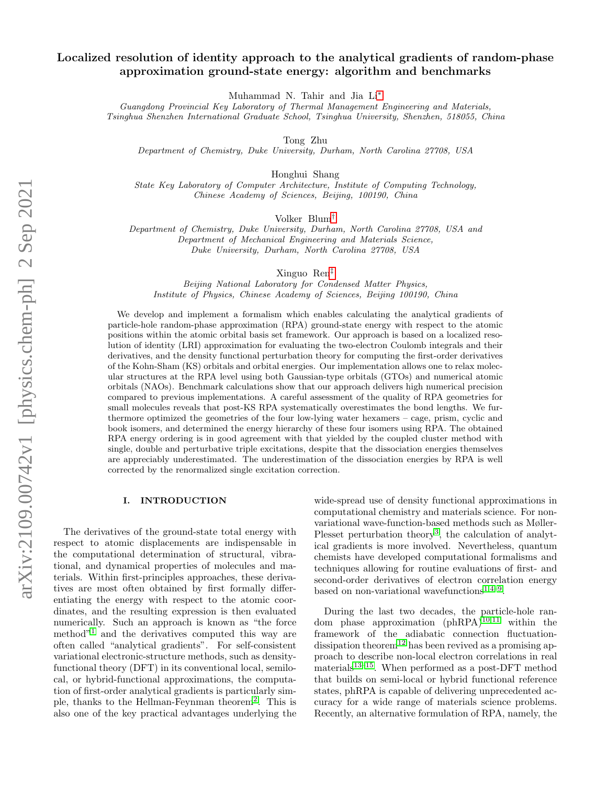# <span id="page-0-0"></span>Localized resolution of identity approach to the analytical gradients of random-phase approximation ground-state energy: algorithm and benchmarks

Muhammad N. Tahir and Jia Li[∗](#page-11-0)

Guangdong Provincial Key Laboratory of Thermal Management Engineering and Materials, Tsinghua Shenzhen International Graduate School, Tsinghua University, Shenzhen, 518055, China

Tong Zhu

Department of Chemistry, Duke University, Durham, North Carolina 27708, USA

Honghui Shang

State Key Laboratory of Computer Architecture, Institute of Computing Technology, Chinese Academy of Sciences, Beijing, 100190, China

Volker Blum[†](#page-11-1)

Department of Chemistry, Duke University, Durham, North Carolina 27708, USA and Department of Mechanical Engineering and Materials Science, Duke University, Durham, North Carolina 27708, USA

Xinguo Ren[‡](#page-11-2)

Beijing National Laboratory for Condensed Matter Physics, Institute of Physics, Chinese Academy of Sciences, Beijing 100190, China

We develop and implement a formalism which enables calculating the analytical gradients of particle-hole random-phase approximation (RPA) ground-state energy with respect to the atomic positions within the atomic orbital basis set framework. Our approach is based on a localized resolution of identity (LRI) approximation for evaluating the two-electron Coulomb integrals and their derivatives, and the density functional perturbation theory for computing the first-order derivatives of the Kohn-Sham (KS) orbitals and orbital energies. Our implementation allows one to relax molecular structures at the RPA level using both Gaussian-type orbitals (GTOs) and numerical atomic orbitals (NAOs). Benchmark calculations show that our approach delivers high numerical precision compared to previous implementations. A careful assessment of the quality of RPA geometries for small molecules reveals that post-KS RPA systematically overestimates the bond lengths. We furthermore optimized the geometries of the four low-lying water hexamers – cage, prism, cyclic and book isomers, and determined the energy hierarchy of these four isomers using RPA. The obtained RPA energy ordering is in good agreement with that yielded by the coupled cluster method with single, double and perturbative triple excitations, despite that the dissociation energies themselves are appreciably underestimated. The underestimation of the dissociation energies by RPA is well corrected by the renormalized single excitation correction.

### I. INTRODUCTION

The derivatives of the ground-state total energy with respect to atomic displacements are indispensable in the computational determination of structural, vibrational, and dynamical properties of molecules and materials. Within first-principles approaches, these derivatives are most often obtained by first formally differentiating the energy with respect to the atomic coordinates, and the resulting expression is then evaluated numerically. Such an approach is known as "the force method"<sup>[1](#page-11-3)</sup> and the derivatives computed this way are often called "analytical gradients". For self-consistent variational electronic-structure methods, such as densityfunctional theory (DFT) in its conventional local, semilocal, or hybrid-functional approximations, the computation of first-order analytical gradients is particularly simple, thanks to the Hellman-Feynman theorem[2](#page-11-4) . This is also one of the key practical advantages underlying the

wide-spread use of density functional approximations in computational chemistry and materials science. For nonvariational wave-function-based methods such as Møller-Plesset perturbation theory<sup>[3](#page-11-5)</sup>, the calculation of analytical gradients is more involved. Nevertheless, quantum chemists have developed computational formalisms and techniques allowing for routine evaluations of first- and second-order derivatives of electron correlation energy based on non-variational wavefunctions<sup>[1](#page-11-3)[,4](#page-11-6)-9</sup>.

During the last two decades, the particle-hole random phase approximation  $(\text{phRPA})^{10,11}$  $(\text{phRPA})^{10,11}$  $(\text{phRPA})^{10,11}$  $(\text{phRPA})^{10,11}$  within the framework of the adiabatic connection fluctuation-dissipation theorem<sup>[12](#page-11-10)</sup> has been revived as a promising approach to describe non-local electron correlations in real materials<sup>[13–](#page-11-11)[15](#page-11-12)</sup>. When performed as a post-DFT method that builds on semi-local or hybrid functional reference states, phRPA is capable of delivering unprecedented accuracy for a wide range of materials science problems. Recently, an alternative formulation of RPA, namely, the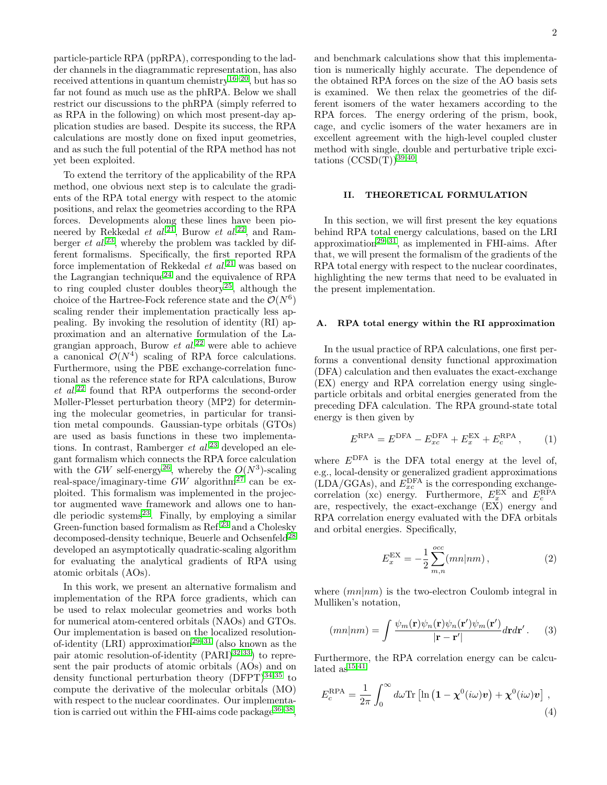particle-particle RPA (ppRPA), corresponding to the ladder channels in the diagrammatic representation, has also received attentions in quantum chemistry<sup>[16–](#page-11-13)[20](#page-11-14)</sup>, but has so far not found as much use as the phRPA. Below we shall restrict our discussions to the phRPA (simply referred to as RPA in the following) on which most present-day application studies are based. Despite its success, the RPA calculations are mostly done on fixed input geometries, and as such the full potential of the RPA method has not yet been exploited.

To extend the territory of the applicability of the RPA method, one obvious next step is to calculate the gradients of the RPA total energy with respect to the atomic positions, and relax the geometries according to the RPA forces. Developments along these lines have been pioneered by Rekkedal et  $al^{21}$  $al^{21}$  $al^{21}$ , Burow et  $al^{22}$  $al^{22}$  $al^{22}$ , and Ramberger *et al.*<sup>[23](#page-11-17)</sup>, whereby the problem was tackled by different formalisms. Specifically, the first reported RPA force implementation of Rekkedal  $et \ al.<sup>21</sup>$  $et \ al.<sup>21</sup>$  $et \ al.<sup>21</sup>$  was based on the Lagrangian technique<sup>[24](#page-11-18)</sup> and the equivalence of RPA to ring coupled cluster doubles theory<sup>[25](#page-11-19)</sup>, although the choice of the Hartree-Fock reference state and the  $\mathcal{O}(N^6)$ scaling render their implementation practically less appealing. By invoking the resolution of identity (RI) approximation and an alternative formulation of the Lagrangian approach, Burow  $et$   $al.^{22}$  $al.^{22}$  $al.^{22}$  were able to achieve a canonical  $\mathcal{O}(N^4)$  scaling of RPA force calculations. Furthermore, using the PBE exchange-correlation functional as the reference state for RPA calculations, Burow  $et \ al.<sup>22</sup> found that RPA outperforms the second-order$  $et \ al.<sup>22</sup> found that RPA outperforms the second-order$  $et \ al.<sup>22</sup> found that RPA outperforms the second-order$ Møller-Plesset perturbation theory (MP2) for determining the molecular geometries, in particular for transition metal compounds. Gaussian-type orbitals (GTOs) are used as basis functions in these two implementations. In contrast, Ramberger *et al.*<sup>[23](#page-11-17)</sup> developed an elegant formalism which connects the RPA force calculation with the GW self-energy<sup>[26](#page-11-20)</sup>, whereby the  $O(N^3)$ -scaling real-space/imaginary-time  $GW$  algorithm<sup>[27](#page-11-21)</sup> can be exploited. This formalism was implemented in the projector augmented wave framework and allows one to handle periodic systems $^{23}$  $^{23}$  $^{23}$ . Finally, by employing a similar Green-function based formalism as  $\text{Ref.}^{23}$  $\text{Ref.}^{23}$  $\text{Ref.}^{23}$  and a Cholesky decomposed-density technique, Beuerle and Ochsenfeld<sup>[28](#page-11-22)</sup> developed an asymptotically quadratic-scaling algorithm for evaluating the analytical gradients of RPA using atomic orbitals (AOs).

In this work, we present an alternative formalism and implementation of the RPA force gradients, which can be used to relax molecular geometries and works both for numerical atom-centered orbitals (NAOs) and GTOs. Our implementation is based on the localized resolution-of-identity (LRI) approximation<sup>[29–](#page-11-23)[31](#page-11-24)</sup> (also known as the pair atomic resolution-of-identity  $(PARI)^{32,33}$  $(PARI)^{32,33}$  $(PARI)^{32,33}$  $(PARI)^{32,33}$  to represent the pair products of atomic orbitals (AOs) and on density functional perturbation theory  $(DFPT)^{34,35}$  $(DFPT)^{34,35}$  $(DFPT)^{34,35}$  $(DFPT)^{34,35}$  to compute the derivative of the molecular orbitals (MO) with respect to the nuclear coordinates. Our implementation is carried out within the FHI-aims code package  $36-38$  $36-38$ ,

and benchmark calculations show that this implementation is numerically highly accurate. The dependence of the obtained RPA forces on the size of the AO basis sets is examined. We then relax the geometries of the different isomers of the water hexamers according to the RPA forces. The energy ordering of the prism, book, cage, and cyclic isomers of the water hexamers are in excellent agreement with the high-level coupled cluster method with single, double and perturbative triple excitations  $(CCSD(T))^{39,40}$  $(CCSD(T))^{39,40}$  $(CCSD(T))^{39,40}$  $(CCSD(T))^{39,40}$ .

## II. THEORETICAL FORMULATION

In this section, we will first present the key equations behind RPA total energy calculations, based on the LRI approximation<sup>[29](#page-11-23)[–31](#page-11-24)</sup>, as implemented in FHI-aims. After that, we will present the formalism of the gradients of the RPA total energy with respect to the nuclear coordinates, highlighting the new terms that need to be evaluated in the present implementation.

#### A. RPA total energy within the RI approximation

In the usual practice of RPA calculations, one first performs a conventional density functional approximation (DFA) calculation and then evaluates the exact-exchange (EX) energy and RPA correlation energy using singleparticle orbitals and orbital energies generated from the preceding DFA calculation. The RPA ground-state total energy is then given by

$$
ERPA = EDFA - ExcDFA + ExEX + EcRPA, \t(1)
$$

where  $E<sup>DFA</sup>$  is the DFA total energy at the level of, e.g., local-density or generalized gradient approximations  $(LDA/GGAs)$ , and  $E_{xc}^{\text{DFA}}$  is the corresponding exchangecorrelation (xc) energy. Furthermore,  $E_x^{EX}$  and  $E_c^{RPA}$ are, respectively, the exact-exchange (EX) energy and RPA correlation energy evaluated with the DFA orbitals and orbital energies. Specifically,

$$
E_x^{\text{EX}} = -\frac{1}{2} \sum_{m,n}^{occ} (mn|nm) \,, \tag{2}
$$

where  $(mn|nm)$  is the two-electron Coulomb integral in Mulliken's notation,

<span id="page-1-0"></span>
$$
(mn|nm) = \int \frac{\psi_m(\mathbf{r})\psi_n(\mathbf{r})\psi_n(\mathbf{r'})\psi_m(\mathbf{r'})}{|\mathbf{r} - \mathbf{r'}|}d\mathbf{r}d\mathbf{r'}.
$$
 (3)

Furthermore, the RPA correlation energy can be calculated  $\rm as^{15,41}$  $\rm as^{15,41}$  $\rm as^{15,41}$  $\rm as^{15,41}$ 

$$
E_c^{\rm RPA} = \frac{1}{2\pi} \int_0^\infty d\omega \text{Tr} \left[ \ln \left( 1 - \chi^0(i\omega) \boldsymbol{v} \right) + \chi^0(i\omega) \boldsymbol{v} \right], \tag{4}
$$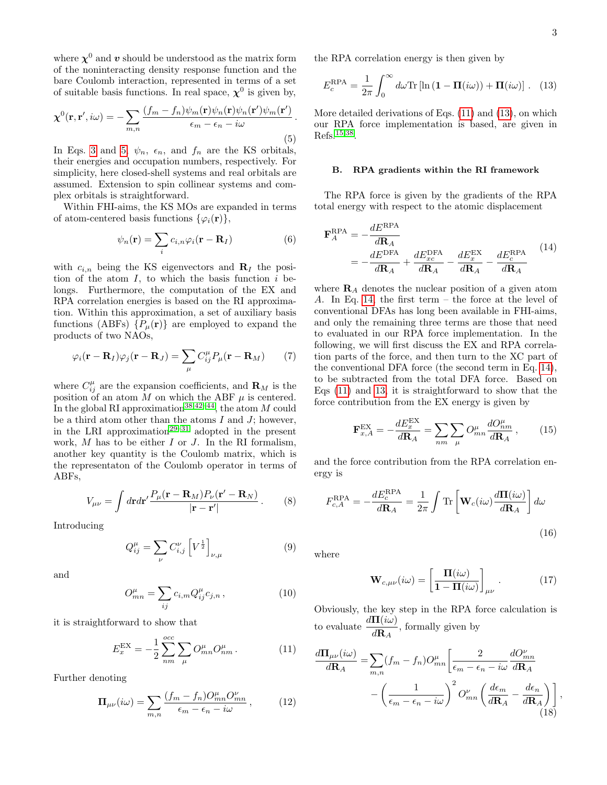where  $\chi^0$  and  $v$  should be understood as the matrix form of the noninteracting density response function and the bare Coulomb interaction, represented in terms of a set of suitable basis functions. In real space,  $\chi^0$  is given by,

<span id="page-2-0"></span>
$$
\chi^{0}(\mathbf{r}, \mathbf{r}', i\omega) = -\sum_{m,n} \frac{(f_m - f_n)\psi_m(\mathbf{r})\psi_n(\mathbf{r})\psi_n(\mathbf{r}')\psi_m(\mathbf{r}')}{\epsilon_m - \epsilon_n - i\omega}.
$$
\n(5)

In Eqs. [3](#page-1-0) and [5,](#page-2-0)  $\psi_n$ ,  $\epsilon_n$ , and  $f_n$  are the KS orbitals, their energies and occupation numbers, respectively. For simplicity, here closed-shell systems and real orbitals are assumed. Extension to spin collinear systems and complex orbitals is straightforward.

Within FHI-aims, the KS MOs are expanded in terms of atom-centered basis functions  $\{\varphi_i(\mathbf{r})\},\$ 

$$
\psi_n(\mathbf{r}) = \sum_i c_{i,n} \varphi_i(\mathbf{r} - \mathbf{R}_I)
$$
 (6)

with  $c_{i,n}$  being the KS eigenvectors and  $\mathbf{R}_I$  the position of the atom  $I$ , to which the basis function  $i$  belongs. Furthermore, the computation of the EX and RPA correlation energies is based on the RI approximation. Within this approximation, a set of auxiliary basis functions (ABFs)  $\{P_\mu(\mathbf{r})\}$  are employed to expand the products of two NAOs,

<span id="page-2-7"></span>
$$
\varphi_i(\mathbf{r} - \mathbf{R}_I)\varphi_j(\mathbf{r} - \mathbf{R}_J) = \sum_{\mu} C_{ij}^{\mu} P_{\mu}(\mathbf{r} - \mathbf{R}_M)
$$
 (7)

where  $C_{ij}^{\mu}$  are the expansion coefficients, and  $\mathbf{R}_{M}$  is the position of an atom M on which the ABF  $\mu$  is centered. In the global RI approximation<sup>[38,](#page-11-30)[42](#page-11-34)[–44](#page-11-35)</sup>, the atom M could be a third atom other than the atoms  $I$  and  $J$ ; however, in the LRI approximation<sup>[29–](#page-11-23)[31](#page-11-24)</sup> adopted in the present work,  $M$  has to be either  $I$  or  $J$ . In the RI formalism, another key quantity is the Coulomb matrix, which is the representaton of the Coulomb operator in terms of ABFs,

$$
V_{\mu\nu} = \int d\mathbf{r} d\mathbf{r}' \frac{P_{\mu}(\mathbf{r} - \mathbf{R}_M) P_{\nu}(\mathbf{r}' - \mathbf{R}_N)}{|\mathbf{r} - \mathbf{r}'|}.
$$
 (8)

Introducing

$$
Q_{ij}^{\mu} = \sum_{\nu} C_{i,j}^{\nu} \left[ V^{\frac{1}{2}} \right]_{\nu,\mu} \tag{9}
$$

and

<span id="page-2-9"></span>
$$
O_{mn}^{\mu} = \sum_{ij} c_{i,m} Q_{ij}^{\mu} c_{j,n} , \qquad (10)
$$

it is straightforward to show that

<span id="page-2-1"></span>
$$
E_x^{\text{EX}} = -\frac{1}{2} \sum_{nm}^{occ} \sum_{\mu} O_{mn}^{\mu} O_{nm}^{\mu}.
$$
 (11)

Further denoting

<span id="page-2-4"></span>
$$
\Pi_{\mu\nu}(i\omega) = \sum_{m,n} \frac{(f_m - f_n)O_{mn}^{\mu}O_{mn}^{\nu}}{\epsilon_m - \epsilon_n - i\omega}, \qquad (12)
$$

the RPA correlation energy is then given by

<span id="page-2-2"></span>
$$
E_c^{\rm RPA} = \frac{1}{2\pi} \int_0^\infty d\omega \text{Tr} \left[ \ln \left( \mathbf{1} - \mathbf{\Pi}(i\omega) \right) + \mathbf{\Pi}(i\omega) \right] . \tag{13}
$$

More detailed derivations of Eqs. [\(11\)](#page-2-1) and [\(13\)](#page-2-2), on which our RPA force implementation is based, are given in Refs.[15](#page-11-12)[,38](#page-11-30) .

#### B. RPA gradients within the RI framework

The RPA force is given by the gradients of the RPA total energy with respect to the atomic displacement

<span id="page-2-3"></span>
$$
\mathbf{F}_{A}^{\text{RPA}} = -\frac{dE^{\text{RPA}}}{d\mathbf{R}_{A}} = -\frac{dE^{\text{DFA}}}{d\mathbf{R}_{A}} + \frac{dE_{xc}^{\text{DFA}}}{d\mathbf{R}_{A}} - \frac{dE_{x}^{\text{EX}}}{d\mathbf{R}_{A}} - \frac{dE_{c}^{\text{RPA}}}{d\mathbf{R}_{A}} \tag{14}
$$

where  **denotes the nuclear position of a given atom** A. In Eq. [14,](#page-2-3) the first term – the force at the level of conventional DFAs has long been available in FHI-aims, and only the remaining three terms are those that need to evaluated in our RPA force implementation. In the following, we will first discuss the EX and RPA correlation parts of the force, and then turn to the XC part of the conventional DFA force (the second term in Eq. [14\)](#page-2-3), to be subtracted from the total DFA force. Based on Eqs [\(11\)](#page-2-1) and [13,](#page-2-2) it is straightforward to show that the force contribution from the EX energy is given by

<span id="page-2-6"></span>
$$
\mathbf{F}_{x,A}^{\text{EX}} = -\frac{dE_x^{\text{EX}}}{d\mathbf{R}_A} = \sum_{nm} \sum_{\mu} O_{mn}^{\mu} \frac{dO_{nm}^{\mu}}{d\mathbf{R}_A},\qquad(15)
$$

and the force contribution from the RPA correlation energy is

$$
F_{c,A}^{\text{RPA}} = -\frac{dE_c^{\text{RPA}}}{d\mathbf{R}_A} = \frac{1}{2\pi} \int \text{Tr}\left[\mathbf{W}_c(i\omega)\frac{d\mathbf{\Pi}(i\omega)}{d\mathbf{R}_A}\right] d\omega
$$
\n(16)

where

<span id="page-2-10"></span><span id="page-2-8"></span>
$$
\mathbf{W}_{c,\mu\nu}(i\omega) = \left[\frac{\mathbf{\Pi}(i\omega)}{1 - \mathbf{\Pi}(i\omega)}\right]_{\mu\nu}.
$$
 (17)

Obviously, the key step in the RPA force calculation is to evaluate  $\frac{d\Pi(i\omega)}{d\mathbf{R}_A}$ , formally given by

<span id="page-2-5"></span>
$$
\frac{d\mathbf{\Pi}_{\mu\nu}(i\omega)}{d\mathbf{R}_A} = \sum_{m,n} (f_m - f_n) O_{mn}^{\mu} \left[ \frac{2}{\epsilon_m - \epsilon_n - i\omega} \frac{dO_{mn}^{\nu}}{d\mathbf{R}_A} - \left( \frac{1}{\epsilon_m - \epsilon_n - i\omega} \right)^2 O_{mn}^{\nu} \left( \frac{d\epsilon_m}{d\mathbf{R}_A} - \frac{d\epsilon_n}{d\mathbf{R}_A} \right) \right],
$$
\n(18)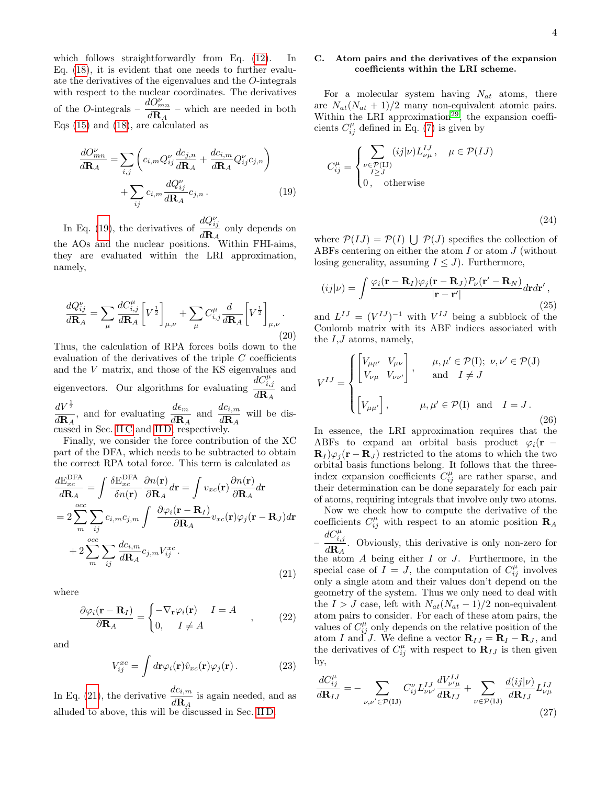which follows straightforwardly from Eq.  $(12)$ . In Eq. [\(18\)](#page-2-5), it is evident that one needs to further evaluate the derivatives of the eigenvalues and the O-integrals with respect to the nuclear coordinates. The derivatives of the O-integrals –  $\frac{dO_{mn}^{\nu}}{D}$  $\frac{d\mathbf{C}_{mn}}{d\mathbf{R}_{A}}$  – which are needed in both Eqs [\(15\)](#page-2-6) and [\(18\)](#page-2-5), are calculated as

$$
\frac{dO_{mn}^{\nu}}{d\mathbf{R}_A} = \sum_{i,j} \left( c_{i,m} Q_{ij}^{\nu} \frac{dc_{j,n}}{d\mathbf{R}_A} + \frac{dc_{i,m}}{d\mathbf{R}_A} Q_{ij}^{\nu} c_{j,n} \right) + \sum_{ij} c_{i,m} \frac{dQ_{ij}^{\nu}}{d\mathbf{R}_A} c_{j,n}.
$$
\n(19)

In Eq. [\(19\)](#page-3-0), the derivatives of  $\frac{dQ_{ij}^{\nu}}{dQ_{ij}^{\nu}}$  $\frac{d\mathbf{R}_{ij}}{d\mathbf{R}_{A}}$  only depends on the AOs and the nuclear positions. Within FHI-aims, they are evaluated within the LRI approximation, namely,

<span id="page-3-3"></span>
$$
\frac{dQ_{ij}^{\nu}}{d\mathbf{R}_{A}} = \sum_{\mu} \frac{dC_{i,j}^{\mu}}{d\mathbf{R}_{A}} \left[ V^{\frac{1}{2}} \right]_{\mu,\nu} + \sum_{\mu} C_{i,j}^{\mu} \frac{d}{d\mathbf{R}_{A}} \left[ V^{\frac{1}{2}} \right]_{\mu,\nu}.
$$
\n(20)

Thus, the calculation of RPA forces boils down to the evaluation of the derivatives of the triple C coefficients and the V matrix, and those of the KS eigenvalues and eigenvectors. Our algorithms for evaluating  $dC_{i,j}^{\mu}$  $\frac{i,j}{d\mathbf{R}_A}$  and  $dV^{\frac{1}{2}}$  $\frac{dV^{\frac{1}{2}}}{d\mathbf{R}_A}$ , and for evaluating  $\frac{d\epsilon_m}{d\mathbf{R}_A}$  and  $\frac{dc_{i,m}}{d\mathbf{R}_A}$  will be dis-

cussed in Sec. [II C](#page-3-1) and [II D,](#page-4-0) respectively.

Finally, we consider the force contribution of the XC part of the DFA, which needs to be subtracted to obtain the correct RPA total force. This term is calculated as

<span id="page-3-2"></span>
$$
\frac{dE_{xc}^{\text{DFA}}}{d\mathbf{R}_{A}} = \int \frac{\delta E_{xc}^{\text{DFA}}}{\delta n(\mathbf{r})} \frac{\partial n(\mathbf{r})}{\partial \mathbf{R}_{A}} d\mathbf{r} = \int v_{xc}(\mathbf{r}) \frac{\partial n(\mathbf{r})}{\partial \mathbf{R}_{A}} d\mathbf{r}
$$
\n
$$
= 2 \sum_{m}^{occ} \sum_{ij} c_{i,m} c_{j,m} \int \frac{\partial \varphi_{i}(\mathbf{r} - \mathbf{R}_{I})}{\partial \mathbf{R}_{A}} v_{xc}(\mathbf{r}) \varphi_{j}(\mathbf{r} - \mathbf{R}_{J}) d\mathbf{r}
$$
\n
$$
+ 2 \sum_{m}^{occ} \sum_{ij} \frac{dc_{i,m}}{d\mathbf{R}_{A}} c_{j,m} V_{ij}^{xc}.
$$
\n(21)

where

$$
\frac{\partial \varphi_i(\mathbf{r} - \mathbf{R}_I)}{\partial \mathbf{R}_A} = \begin{cases} -\nabla_\mathbf{r} \varphi_i(\mathbf{r}) & I = A \\ 0, & I \neq A \end{cases} , \qquad (22)
$$

and

$$
V_{ij}^{xc} = \int d\mathbf{r} \varphi_i(\mathbf{r}) \hat{v}_{xc}(\mathbf{r}) \varphi_j(\mathbf{r}). \tag{23}
$$

In Eq. [\(21\)](#page-3-2), the derivative  $\frac{dc_{i,m}}{d\mathbf{R}_A}$  is again needed, and as alluded to above, this will be discussed in Sec. [II D.](#page-4-0)

### <span id="page-3-1"></span>C. Atom pairs and the derivatives of the expansion coefficients within the LRI scheme.

For a molecular system having  $N_{at}$  atoms, there are  $N_{at}(N_{at} + 1)/2$  many non-equivalent atomic pairs. Within the LRI approximation<sup>[29](#page-11-23)</sup>, the expansion coefficients  $C_{ij}^{\mu}$  defined in Eq. [\(7\)](#page-2-7) is given by

<span id="page-3-0"></span>
$$
C_{ij}^{\mu} = \begin{cases} \sum_{\substack{\nu \in \mathcal{P}(IJ) \\ I \ge J}} (ij|\nu) L_{\nu\mu}^{IJ}, \quad \mu \in \mathcal{P}(IJ) \\ 0, \quad \text{otherwise} \end{cases}
$$

(24)

where  $\mathcal{P}(IJ) = \mathcal{P}(I) \cup \mathcal{P}(J)$  specifies the collection of ABFs centering on either the atom  $I$  or atom  $J$  (without losing generality, assuming  $I \leq J$ ). Furthermore,

$$
(ij|\nu) = \int \frac{\varphi_i(\mathbf{r} - \mathbf{R}_I)\varphi_j(\mathbf{r} - \mathbf{R}_J)P_{\nu}(\mathbf{r}' - \mathbf{R}_N)}{|\mathbf{r} - \mathbf{r}'|} d\mathbf{r} d\mathbf{r}',
$$
\n(25)

and  $L^{IJ} = (V^{IJ})^{-1}$  with  $V^{IJ}$  being a subblock of the Coulomb matrix with its ABF indices associated with the  $I,J$  atoms, namely,

$$
V^{IJ} = \begin{cases} \begin{bmatrix} V_{\mu\mu'} & V_{\mu\nu} \\ V_{\nu\mu} & V_{\nu\nu'} \end{bmatrix}, & \mu, \mu' \in \mathcal{P}(\mathbf{I}); \ \nu, \nu' \in \mathcal{P}(\mathbf{J}) \\ & \text{and} \quad I \neq J \end{cases}
$$

$$
\begin{bmatrix} V_{\mu\mu'} \end{bmatrix}, & \mu, \mu' \in \mathcal{P}(\mathbf{I}) \ \text{and} \quad I = J. \end{cases}
$$
(26)

In essence, the LRI approximation requires that the ABFs to expand an orbital basis product  $\varphi_i(\mathbf{r})$  $\mathbf{R}_I \rangle \varphi_i(\mathbf{r} - \mathbf{R}_I)$  restricted to the atoms to which the two orbital basis functions belong. It follows that the threeindex expansion coefficients  $C_{ij}^{\mu}$  are rather sparse, and their determination can be done separately for each pair of atoms, requiring integrals that involve only two atoms.

Now we check how to compute the derivative of the coefficients  $C_{ij}^{\mu}$  with respect to an atomic position  $\mathbf{R}_{A}$ –  $dC_{i,j}^{\mu}$  $\frac{d\mathbf{R}_{A}}{d\mathbf{R}_{A}}$ . Obviously, this derivative is only non-zero for the atom  $A$  being either  $I$  or  $J$ . Furthermore, in the special case of  $I = J$ , the computation of  $C_{ij}^{\mu}$  involves only a single atom and their values don't depend on the geometry of the system. Thus we only need to deal with

the  $I > J$  case, left with  $N_{at}(N_{at}-1)/2$  non-equivalent atom pairs to consider. For each of these atom pairs, the values of  $C_{ij}^{\mu}$  only depends on the relative position of the atom I and J. We define a vector  $\mathbf{R}_{IJ} = \mathbf{R}_I - \mathbf{R}_J$ , and the derivatives of  $C_{ij}^{\mu}$  with respect to  $\mathbf{R}_{IJ}$  is then given by,

$$
\frac{dC_{ij}^{\mu}}{d\mathbf{R}_{IJ}} = -\sum_{\nu,\nu'\in\mathcal{P}(IJ)} C_{ij}^{\nu} L_{\nu\nu'}^{IJ} \frac{dV_{\nu'\mu}^{IJ}}{d\mathbf{R}_{IJ}} + \sum_{\nu\in\mathcal{P}(IJ)} \frac{d(ij|\nu)}{d\mathbf{R}_{IJ}} L_{\nu\mu}^{IJ}
$$
\n(27)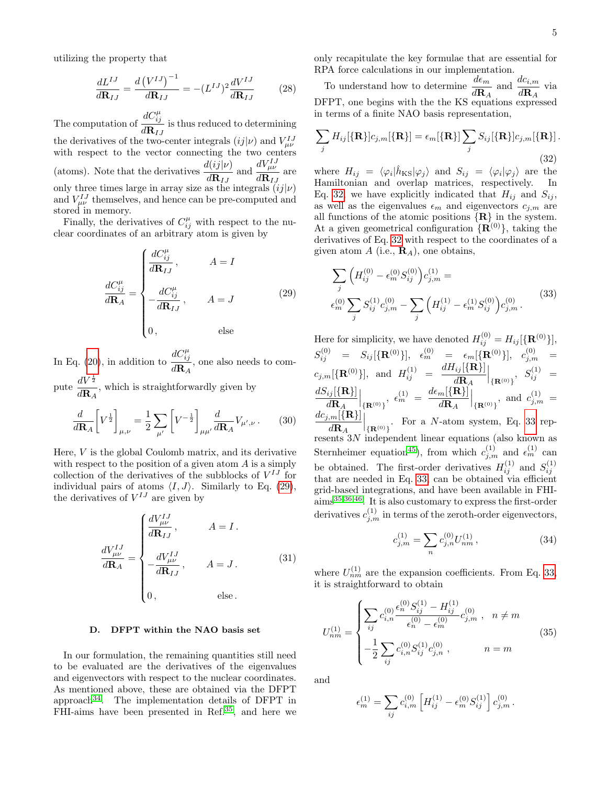utilizing the property that

$$
\frac{dL^{IJ}}{d\mathbf{R}_{IJ}} = \frac{d\left(V^{IJ}\right)^{-1}}{d\mathbf{R}_{IJ}} = -(L^{IJ})^2 \frac{dV^{IJ}}{d\mathbf{R}_{IJ}}\tag{28}
$$

The computation of  $dC_{ij}^{\mu}$  $\frac{d\mathbf{R}_{IJ}}{d\mathbf{R}_{IJ}}$  is thus reduced to determining the derivatives of the two-center integrals  $(ij|\nu)$  and  $V_{\mu\nu}^{IJ}$ with respect to the vector connecting the two centers (atoms). Note that the derivatives  $\frac{d(ij|\nu)}{d\mathbf{R}_{IJ}}$  and  $\frac{dV_{\mu\nu}^{IJ}}{d\mathbf{R}_{IJ}}$  $\frac{\mu\nu}{d{\bf R}_{IJ}}$  are only three times large in array size as the integrals  $(ij|\nu)$ and  $V_{\mu\nu}^{IJ}$  themselves, and hence can be pre-computed and stored in memory.

Finally, the derivatives of  $C_{ij}^{\mu}$  with respect to the nuclear coordinates of an arbitrary atom is given by

$$
\frac{dC_{ij}^{\mu}}{d\mathbf{R}_{A}} = \begin{cases} \frac{dC_{ij}^{\mu}}{d\mathbf{R}_{IJ}}, & A = I\\ -\frac{dC_{ij}^{\mu}}{d\mathbf{R}_{IJ}}, & A = J \end{cases}
$$
(29)  
0, else

In Eq. [\(20\)](#page-3-3), in addition to  $dC_{ij}^{\mu}$  $\frac{d\mathbf{R}_A}{d\mathbf{R}_A}$ , one also needs to compute  $\frac{dV^{\frac{1}{2}}}{dV}$ 

 $\frac{d\mathbf{R}}{d\mathbf{R}_A}$ , which is straightforwardly given by

$$
\frac{d}{d\mathbf{R}_{A}}\left[V^{\frac{1}{2}}\right]_{\mu,\nu} = \frac{1}{2}\sum_{\mu'}\left[V^{-\frac{1}{2}}\right]_{\mu\mu'}\frac{d}{d\mathbf{R}_{A}}V_{\mu',\nu}.
$$
 (30)

Here, V is the global Coulomb matrix, and its derivative with respect to the position of a given atom  $A$  is a simply collection of the derivatives of the subblocks of  $V^{IJ}$  for individual pairs of atoms  $\langle I, J \rangle$ . Similarly to Eq. [\(29\)](#page-4-1), the derivatives of  $V^{IJ}$  are given by

$$
\frac{dV_{\mu\nu}^{IJ}}{d\mathbf{R}_A} = \begin{cases}\n\frac{dV_{\mu\nu}^{IJ}}{d\mathbf{R}_{IJ}}, & A = I. \\
-\frac{dV_{\mu\nu}^{IJ}}{d\mathbf{R}_{IJ}}, & A = J.\n\end{cases}
$$
\n(31)\n
$$
\begin{cases}\nA = J. & (31) \\
0, & \text{else.}\n\end{cases}
$$

#### <span id="page-4-0"></span>D. DFPT within the NAO basis set

In our formulation, the remaining quantities still need to be evaluated are the derivatives of the eigenvalues and eigenvectors with respect to the nuclear coordinates. As mentioned above, these are obtained via the DFPT approach $34$ . The implementation details of DFPT in FHI-aims have been presented in Ref.<sup>[35](#page-11-28)</sup>, and here we only recapitulate the key formulae that are essential for RPA force calculations in our implementation.

To understand how to determine  $\frac{d\epsilon_m}{d\mathbf{R}_A}$  and  $\frac{dc_{i,m}}{d\mathbf{R}_A}$  via DFPT, one begins with the the KS equations expressed in terms of a finite NAO basis representation,

<span id="page-4-2"></span>
$$
\sum_{j} H_{ij}[\{\mathbf{R}\}]c_{j,m}[\{\mathbf{R}\}] = \epsilon_m[\{\mathbf{R}\}] \sum_{j} S_{ij}[\{\mathbf{R}\}]c_{j,m}[\{\mathbf{R}\}].
$$
\n(32)

where  $H_{ij} = \langle \varphi_i | \hat{h}_{\text{KS}} | \varphi_j \rangle$  and  $S_{ij} = \langle \varphi_i | \varphi_j \rangle$  are the Hamiltonian and overlap matrices, respectively. In Eq. [32,](#page-4-2) we have explicitly indicated that  $H_{ij}$  and  $S_{ij}$ , as well as the eigenvalues  $\epsilon_m$  and eigenvectors  $c_{j,m}$  are all functions of the atomic positions  ${R}$  in the system. At a given geometrical configuration  $\{R^{(0)}\}$ , taking the derivatives of Eq. [32](#page-4-2) with respect to the coordinates of a given atom A (i.e.,  $\mathbf{R}_A$ ), one obtains,

<span id="page-4-3"></span><span id="page-4-1"></span>
$$
\sum_{j} \left( H_{ij}^{(0)} - \epsilon_m^{(0)} S_{ij}^{(0)} \right) c_{j,m}^{(1)} =
$$
\n
$$
\epsilon_m^{(0)} \sum_{j} S_{ij}^{(1)} c_{j,m}^{(0)} - \sum_{j} \left( H_{ij}^{(1)} - \epsilon_m^{(1)} S_{ij}^{(0)} \right) c_{j,m}^{(0)}.
$$
\n(33)

Here for simplicity, we have denoted  $H_{ij}^{(0)} = H_{ij}[\{\mathbf{R}^{(0)}\}],$  $S_{ij}^{(0)} \quad = \quad S_{ij}[\{{\bf R}^{(0)}\}], \quad \epsilon_m^{(0)} \quad = \quad \epsilon_m[\{{\bf R}^{(0)}\}], \quad c_{j,m}^{(0)} \quad = \quad$  $c_{j,m}[\{\mathbf{R}^{(0)}\}],$  and  $H_{ij}^{(1)} = \frac{dH_{ij}[\{\mathbf{R}\}]}{d\mathbf{R}}$ .  $d\mathbf{R}_{A}$  $\Big|_{\{ {\bf R}^{(0)} \}} , \ \ S^{(1)}_{ij} \ \ =$  $dS_{ij}[\{{\bf R}\}]$  $d\mathbf{R}_{A}$  $\Big|_{\{\mathbf{R}^{(0)}\}},\ \epsilon_m^{(1)}\ =\ \frac{d\epsilon_m[\{\mathbf{R}\}]}{d\mathbf{R}_A}$  $d\mathbf{R}_{A}$  $\Big|_{\{ {\bf R}^{(0)} \}}$ , and  $c_{j,m}^{(1)} =$  $\underline{dc_{j,m}[\{\mathbf{R}\}]}$  $d\mathbf{R}_{A}$  $\Big|_{\{R^{(0)}\}}$ . For a *N*-atom system, Eq. [33](#page-4-3) represents 3N independent linear equations (also known as Sternheimer equation<sup>[45](#page-11-36)</sup>), from which  $c_{j,m}^{(1)}$  and  $\epsilon_m^{(1)}$  can be obtained. The first-order derivatives  $H_{ij}^{(1)}$  and  $S_{ij}^{(1)}$ that are needed in Eq. [33,](#page-4-3) can be obtained via efficient grid-based integrations, and have been available in FHI-

$$
c_{j,m}^{(1)} = \sum_{n} c_{j,n}^{(0)} U_{nm}^{(1)},
$$
\n(34)

where  $U_{nm}^{(1)}$  are the expansion coefficients. From Eq. [33,](#page-4-3) it is straightforward to obtain

aims[35](#page-11-28)[,36](#page-11-29)[,46](#page-11-37). It is also customary to express the first-order derivatives  $c_{j,m}^{(1)}$  in terms of the zeroth-order eigenvectors,

<span id="page-4-4"></span>
$$
U_{nm}^{(1)} = \begin{cases} \sum_{ij} c_{i,n}^{(0)} \frac{\epsilon_n^{(0)} S_{ij}^{(1)} - H_{ij}^{(1)}}{\epsilon_n^{(0)} - \epsilon_m^{(0)}} c_{j,m}^{(0)}, & n \neq m \\ -\frac{1}{2} \sum_{ij} c_{i,n}^{(0)} S_{ij}^{(1)} c_{j,n}^{(0)}, & n = m \end{cases}
$$
(35)

and

$$
\epsilon_m^{(1)} = \sum_{ij} c_{i,m}^{(0)} \left[ H_{ij}^{(1)} - \epsilon_m^{(0)} S_{ij}^{(1)} \right] c_{j,m}^{(0)}.
$$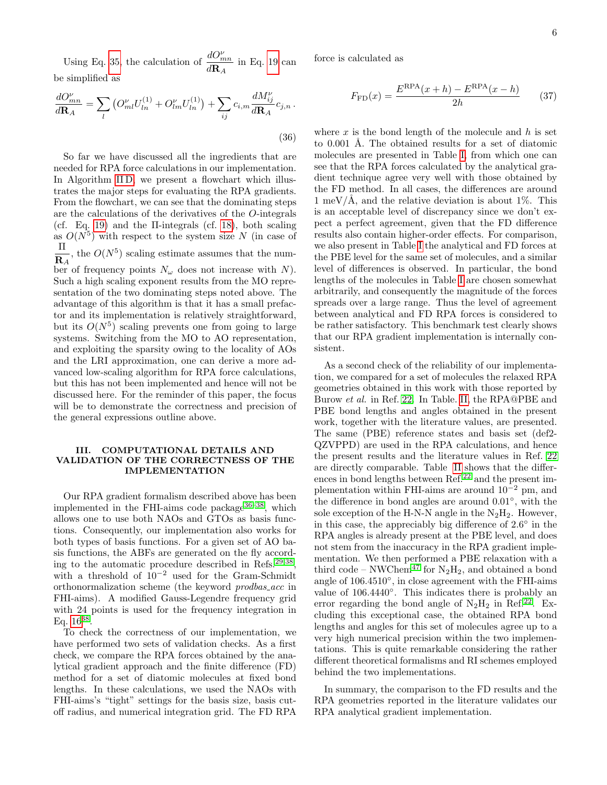Using Eq. [35,](#page-4-4) the calculation of  $\frac{dO_{mn}^{\nu}}{D}$  $\frac{d\omega_{mn}}{d\mathbf{R}_A}$  in Eq. [19](#page-3-0) can be simplified as

$$
\frac{dO_{mn}^{\nu}}{d\mathbf{R}_A} = \sum_{l} \left( O_{ml}^{\nu} U_{ln}^{(1)} + O_{lm}^{\nu} U_{ln}^{(1)} \right) + \sum_{ij} c_{i,m} \frac{dM_{ij}^{\nu}}{d\mathbf{R}_A} c_{j,n} \,. \tag{36}
$$

So far we have discussed all the ingredients that are needed for RPA force calculations in our implementation. In Algorithm IID, we present a flowchart which illustrates the major steps for evaluating the RPA gradients. From the flowchart, we can see that the dominating steps are the calculations of the derivatives of the O-integrals (cf. Eq. [19\)](#page-3-0) and the Π-integrals (cf. [18\)](#page-2-5), both scaling as  $O(N^5)$  with respect to the system size N (in case of Π  $\frac{\mathbf{n}}{\mathbf{R}_A}$ , the  $O(N^5)$  scaling estimate assumes that the number of frequency points  $N_{\omega}$  does not increase with N). Such a high scaling exponent results from the MO representation of the two dominating steps noted above. The advantage of this algorithm is that it has a small prefactor and its implementation is relatively straightforward, but its  $O(N^5)$  scaling prevents one from going to large systems. Switching from the MO to AO representation, and exploiting the sparsity owing to the locality of AOs and the LRI approximation, one can derive a more advanced low-scaling algorithm for RPA force calculations, but this has not been implemented and hence will not be discussed here. For the reminder of this paper, the focus will be to demonstrate the correctness and precision of the general expressions outline above.

## III. COMPUTATIONAL DETAILS AND VALIDATION OF THE CORRECTNESS OF THE IMPLEMENTATION

Our RPA gradient formalism described above has been implemented in the FHI-aims code package  $36-38$  $36-38$ , which allows one to use both NAOs and GTOs as basis functions. Consequently, our implementation also works for both types of basis functions. For a given set of AO basis functions, the ABFs are generated on the fly according to the automatic procedure described in Refs.[29,](#page-11-23)[38](#page-11-30) , with a threshold of  $10^{-2}$  used for the Gram-Schmidt orthonormalization scheme (the keyword prodbas acc in FHI-aims). A modified Gauss-Legendre frequency grid with 24 points is used for the frequency integration in Eq.  $16^{38}$  $16^{38}$  $16^{38}$ .

To check the correctness of our implementation, we have performed two sets of validation checks. As a first check, we compare the RPA forces obtained by the analytical gradient approach and the finite difference (FD) method for a set of diatomic molecules at fixed bond lengths. In these calculations, we used the NAOs with FHI-aims's "tight" settings for the basis size, basis cutoff radius, and numerical integration grid. The FD RPA force is calculated as

$$
F_{\rm FD}(x) = \frac{E^{\rm RPA}(x+h) - E^{\rm RPA}(x-h)}{2h}
$$
 (37)

<span id="page-5-0"></span>where  $x$  is the bond length of the molecule and  $h$  is set to 0.001 Å. The obtained results for a set of diatomic molecules are presented in Table [I,](#page-7-0) from which one can see that the RPA forces calculated by the analytical gradient technique agree very well with those obtained by the FD method. In all cases, the differences are around 1 meV/Å, and the relative deviation is about 1\%. This is an acceptable level of discrepancy since we don't expect a perfect agreement, given that the FD difference results also contain higher-order effects. For comparison, we also present in Table [I](#page-7-0) the analytical and FD forces at the PBE level for the same set of molecules, and a similar level of differences is observed. In particular, the bond lengths of the molecules in Table [I](#page-7-0) are chosen somewhat arbitrarily, and consequently the magnitude of the forces spreads over a large range. Thus the level of agreement between analytical and FD RPA forces is considered to be rather satisfactory. This benchmark test clearly shows that our RPA gradient implementation is internally consistent.

As a second check of the reliability of our implementation, we compared for a set of molecules the relaxed RPA geometries obtained in this work with those reported by Burow et al. in Ref. [22.](#page-11-16) In Table. [II,](#page-8-0) the RPA@PBE and PBE bond lengths and angles obtained in the present work, together with the literature values, are presented. The same (PBE) reference states and basis set (def2- QZVPPD) are used in the RPA calculations, and hence the present results and the literature values in Ref. [22](#page-11-16) are directly comparable. Table [II](#page-8-0) shows that the differences in bond lengths between Ref.[22](#page-11-16) and the present implementation within FHI-aims are around  $10^{-2}$  pm, and the difference in bond angles are around 0.01◦ , with the sole exception of the H-N-N angle in the  $N_2H_2$ . However, in this case, the appreciably big difference of  $2.6^{\circ}$  in the RPA angles is already present at the PBE level, and does not stem from the inaccuracy in the RPA gradient implementation. We then performed a PBE relaxation with a third code – NWChem<sup>[47](#page-11-38)</sup> for  $N_2H_2$ , and obtained a bond angle of 106.4510◦ , in close agreement with the FHI-aims value of  $106.4440°$ . This indicates there is probably an error regarding the bond angle of  $N_2H_2$  in Ref.<sup>[22](#page-11-16)</sup>. Excluding this exceptional case, the obtained RPA bond lengths and angles for this set of molecules agree up to a very high numerical precision within the two implementations. This is quite remarkable considering the rather different theoretical formalisms and RI schemes employed behind the two implementations.

In summary, the comparison to the FD results and the RPA geometries reported in the literature validates our RPA analytical gradient implementation.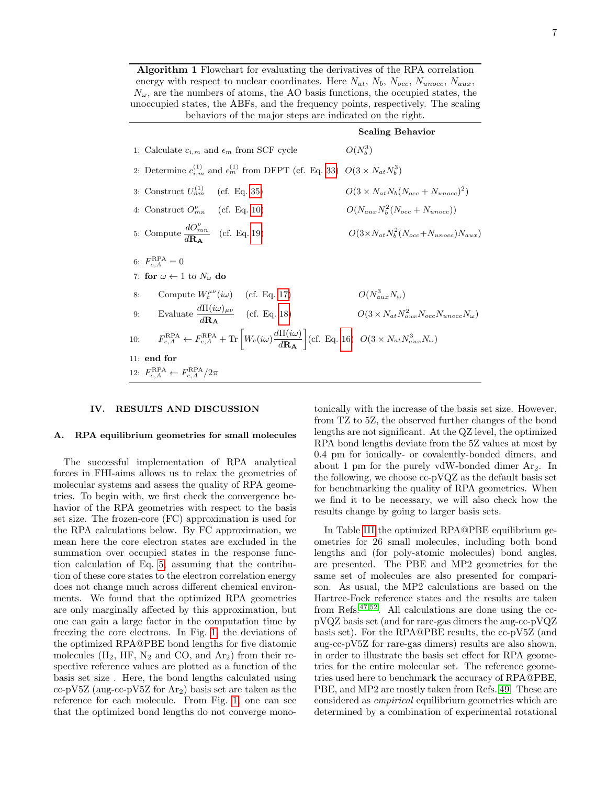Algorithm 1 Flowchart for evaluating the derivatives of the RPA correlation energy with respect to nuclear coordinates. Here  $N_{at}$ ,  $N_b$ ,  $N_{occ}$ ,  $N_{unocc}$ ,  $N_{aux}$ ,  $N_{\omega}$ , are the numbers of atoms, the AO basis functions, the occupied states, the unoccupied states, the ABFs, and the frequency points, respectively. The scaling behaviors of the major steps are indicated on the right.

|               |                                                                                                                                                                                     | <b>Scaling Behavior</b>                                     |
|---------------|-------------------------------------------------------------------------------------------------------------------------------------------------------------------------------------|-------------------------------------------------------------|
|               | 1: Calculate $c_{i,m}$ and $\epsilon_m$ from SCF cycle                                                                                                                              | $O(N_b^3)$                                                  |
|               | 2: Determine $c_{i,m}^{(1)}$ and $\epsilon_m^{(1)}$ from DFPT (cf. Eq. 33) $O(3 \times N_{at} N_b^3)$                                                                               |                                                             |
|               | 3: Construct $U_{nm}^{(1)}$ (cf. Eq. 35)                                                                                                                                            | $O(3 \times N_{at} N_b (N_{occ} + N_{unocc})^2)$            |
|               | 4: Construct $O_{mn}^{\nu}$ (cf. Eq. 10)                                                                                                                                            | $O(N_{aux}N_b^2(N_{occ}+N_{unocc}))$                        |
|               | 5: Compute $\frac{dO_{mn}^{\nu}}{d\mathbf{R_A}}$ (cf. Eq. 19)                                                                                                                       | $O(3 \times N_{at} N_b^2 (N_{occ}+N_{unocc}) N_{aux})$      |
|               | 6: $F_{c, A}^{\text{RPA}} = 0$                                                                                                                                                      |                                                             |
|               | 7: for $\omega \leftarrow 1$ to $N_{\omega}$ do                                                                                                                                     |                                                             |
| 8:            | Compute $W_c^{\mu\nu}(i\omega)$ (cf. Eq. 17)                                                                                                                                        | $O(N_{aux}^3 N_\omega)$                                     |
|               | 9: Evaluate $\frac{d\Pi(i\omega)_{\mu\nu}}{d\mathbf{R}}$ (cf. Eq. 18)                                                                                                               | $O(3 \times N_{at} N_{aux}^2 N_{occ} N_{unocc} N_{\omega})$ |
|               | 10: $F_{c,A}^{RPA} \leftarrow F_{c,A}^{RPA} + \text{Tr}\left[W_c(i\omega)\frac{d\Pi(i\omega)}{d\mathbf{R}\mathbf{A}}\right]$ (cf. Eq. 16) $O(3 \times N_{at} N_{aux}^3 N_{\omega})$ |                                                             |
| $11:$ end for |                                                                                                                                                                                     |                                                             |
|               | 12: $F_{c,A}^{\text{RPA}} \leftarrow F_{c,A}^{\text{RPA}}/2\pi$                                                                                                                     |                                                             |

#### IV. RESULTS AND DISCUSSION

#### A. RPA equilibrium geometries for small molecules

The successful implementation of RPA analytical forces in FHI-aims allows us to relax the geometries of molecular systems and assess the quality of RPA geometries. To begin with, we first check the convergence behavior of the RPA geometries with respect to the basis set size. The frozen-core (FC) approximation is used for the RPA calculations below. By FC approximation, we mean here the core electron states are excluded in the summation over occupied states in the response function calculation of Eq. [5,](#page-2-0) assuming that the contribution of these core states to the electron correlation energy does not change much across different chemical environments. We found that the optimized RPA geometries are only marginally affected by this approximation, but one can gain a large factor in the computation time by freezing the core electrons. In Fig. [1,](#page-7-1) the deviations of the optimized RPA@PBE bond lengths for five diatomic molecules  $(H_2, HF, N_2 \text{ and } CO, \text{ and } Ar_2)$  from their respective reference values are plotted as a function of the basis set size . Here, the bond lengths calculated using cc-pV5Z (aug-cc-pV5Z for  $Ar<sub>2</sub>$ ) basis set are taken as the reference for each molecule. From Fig. [1,](#page-7-1) one can see that the optimized bond lengths do not converge mono-

tonically with the increase of the basis set size. However, from TZ to 5Z, the observed further changes of the bond lengths are not significant. At the QZ level, the optimized RPA bond lengths deviate from the 5Z values at most by 0.4 pm for ionically- or covalently-bonded dimers, and about 1 pm for the purely vdW-bonded dimer  $Ar_2$ . In the following, we choose cc-pVQZ as the default basis set for benchmarking the quality of RPA geometries. When we find it to be necessary, we will also check how the results change by going to larger basis sets.

In Table [III](#page-13-0) the optimized RPA@PBE equilibrium geometries for 26 small molecules, including both bond lengths and (for poly-atomic molecules) bond angles, are presented. The PBE and MP2 geometries for the same set of molecules are also presented for comparison. As usual, the MP2 calculations are based on the Hartree-Fock reference states and the results are taken from Refs.[47,](#page-11-38)[52](#page-12-0). All calculations are done using the ccpVQZ basis set (and for rare-gas dimers the aug-cc-pVQZ basis set). For the RPA@PBE results, the cc-pV5Z (and aug-cc-pV5Z for rare-gas dimers) results are also shown, in order to illustrate the basis set effect for RPA geometries for the entire molecular set. The reference geometries used here to benchmark the accuracy of RPA@PBE, PBE, and MP2 are mostly taken from Refs. [49.](#page-12-1) These are considered as empirical equilibrium geometries which are determined by a combination of experimental rotational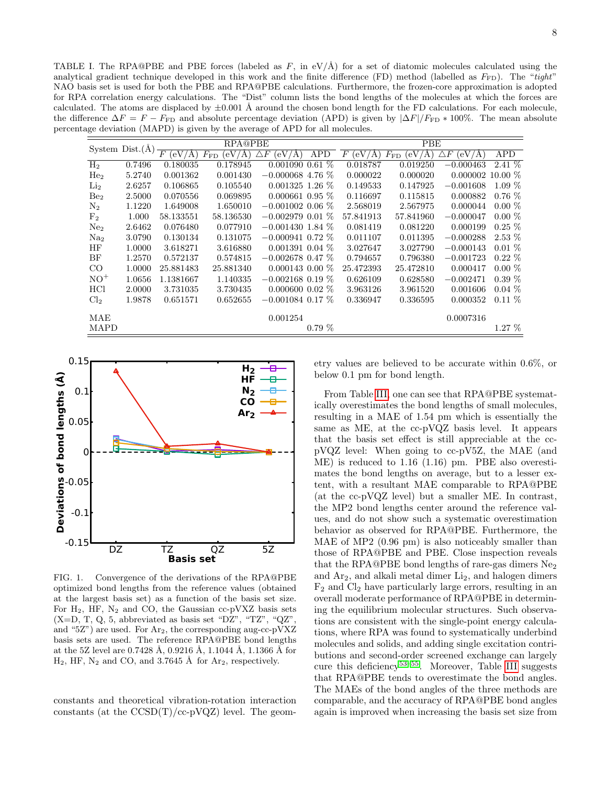<span id="page-7-0"></span>TABLE I. The RPA@PBE and PBE forces (labeled as  $F$ , in  $eV/\hat{A}$ ) for a set of diatomic molecules calculated using the analytical gradient technique developed in this work and the finite difference (FD) method (labelled as  $F_{FD}$ ). The "tight" NAO basis set is used for both the PBE and RPA@PBE calculations. Furthermore, the frozen-core approximation is adopted for RPA correlation energy calculations. The "Dist" column lists the bond lengths of the molecules at which the forces are calculated. The atoms are displaced by  $\pm 0.001$  Å around the chosen bond length for the FD calculations. For each molecule, the difference  $\Delta F = F - F_{FD}$  and absolute percentage deviation (APD) is given by  $|\Delta F|/F_{FD} * 100\%$ . The mean absolute percentage deviation (MAPD) is given by the average of APD for all molecules.

|                 |                   | <b>RPA@PBE</b>              |                                               |                            | PBE        |                                |                          |                            |            |
|-----------------|-------------------|-----------------------------|-----------------------------------------------|----------------------------|------------|--------------------------------|--------------------------|----------------------------|------------|
|                 | System $Dist.(A)$ | $\overline{F}$<br>'e V<br>А | (eV $\scriptstyle\prime$<br>$F_{\rm FD}$<br>Ά | $\triangle F$<br>(eV<br>'A | <b>APD</b> | $\boldsymbol{F}$<br>(eV)<br>'A | $F_{\rm FD}$<br>'eV<br>Ά | (eV/Å)<br>$\boldsymbol{F}$ | <b>APD</b> |
| H <sub>2</sub>  | 0.7496            | 0.180035                    | 0.178945                                      | 0.001090                   | $0.61\%$   | 0.018787                       | 0.019250                 | $-0.000463$                | $2.41\%$   |
| He <sub>2</sub> | 5.2740            | 0.001362                    | 0.001430                                      | $-0.000068$ 4.76 \%        |            | 0.000022                       | 0.000020                 | 0.000002                   | $10.00\%$  |
| $\rm Li_2$      | 2.6257            | 0.106865                    | 0.105540                                      | $0.001325$ 1.26 $%$        |            | 0.149533                       | 0.147925                 | $-0.001608$                | $1.09\%$   |
| Be <sub>2</sub> | 2.5000            | 0.070556                    | 0.069895                                      | $0.000661$ 0.95 %          |            | 0.116697                       | 0.115815                 | 0.000882                   | $0.76\%$   |
| $\rm N_2$       | 1.1220            | 1.649008                    | 1.650010                                      | $-0.001002$ 0.06 %         |            | 2.568019                       | 2.567975                 | 0.000044                   | $0.00\%$   |
| F <sub>2</sub>  | 1.000             | 58.133551                   | 58.136530                                     | $-0.002979$ 0.01 %         |            | 57.841913                      | 57.841960                | $-0.000047$                | $0.00\%$   |
| Ne <sub>2</sub> | 2.6462            | 0.076480                    | 0.077910                                      | $-0.001430$ 1.84 $%$       |            | 0.081419                       | 0.081220                 | 0.000199                   | $0.25\%$   |
| Na <sub>2</sub> | 3.0790            | 0.130134                    | 0.131075                                      | $-0.000941$ 0.72 %         |            | 0.011107                       | 0.011395                 | $-0.000288$                | $2.53\%$   |
| HF              | 1.0000            | 3.618271                    | 3.616880                                      | $0.001391$ 0.04 \%         |            | 3.027647                       | 3.027790                 | $-0.000143$                | $0.01\%$   |
| BF              | 1.2570            | 0.572137                    | 0.574815                                      | $-0.002678$ 0.47 %         |            | 0.794657                       | 0.796380                 | $-0.001723$                | $0.22\%$   |
| $_{\rm CO}$     | 1.0000            | 25.881483                   | 25.881340                                     | $0.000143$ 0.00 $%$        |            | 25.472393                      | 25.472810                | 0.000417                   | $0.00\%$   |
| $NO+$           | 1.0656            | 1.1381667                   | 1.140335                                      | $-0.002168$ 0.19 %         |            | 0.626109                       | 0.628580                 | $-0.002471$                | $0.39\%$   |
| HCl             | 2.0000            | 3.731035                    | 3.730435                                      | $0.000600$ $0.02\%$        |            | 3.963126                       | 3.961520                 | 0.001606                   | $0.04\%$   |
| Cl <sub>2</sub> | 1.9878            | 0.651571                    | 0.652655                                      | $-0.001084$ 0.17 %         |            | 0.336947                       | 0.336595                 | 0.000352                   | $0.11\%$   |
| MAE             |                   |                             |                                               | 0.001254                   |            |                                |                          | 0.0007316                  |            |
| <b>MAPD</b>     |                   |                             |                                               |                            | $0.79\%$   |                                |                          |                            | $1.27\%$   |



<span id="page-7-1"></span>FIG. 1. Convergence of the derivations of the RPA@PBE optimized bond lengths from the reference values (obtained at the largest basis set) as a function of the basis set size. For  $H_2$ , HF,  $N_2$  and CO, the Gaussian cc-pVXZ basis sets  $(X=D, T, Q, 5,$  abbreviated as basis set "DZ", "TZ", " $QZ$ ", and "5Z") are used. For  $Ar_2$ , the corresponding aug-cc-pVXZ basis sets are used. The reference RPA@PBE bond lengths at the 5Z level are  $0.7428$  Å,  $0.9216$  Å,  $1.1044$  Å,  $1.1366$  Å for  $H_2$ , HF,  $N_2$  and CO, and 3.7645 Å for  $Ar_2$ , respectively.

constants and theoretical vibration-rotation interaction constants (at the  $CCSD(T)/cc-pVQZ$ ) level. The geometry values are believed to be accurate within 0.6%, or below 0.1 pm for bond length.

From Table [III,](#page-13-0) one can see that RPA@PBE systematically overestimates the bond lengths of small molecules, resulting in a MAE of 1.54 pm which is essentially the same as ME, at the cc-pVQZ basis level. It appears that the basis set effect is still appreciable at the ccpVQZ level: When going to cc-pV5Z, the MAE (and ME) is reduced to 1.16 (1.16) pm. PBE also overestimates the bond lengths on average, but to a lesser extent, with a resultant MAE comparable to RPA@PBE (at the cc-pVQZ level) but a smaller ME. In contrast, the MP2 bond lengths center around the reference values, and do not show such a systematic overestimation behavior as observed for RPA@PBE. Furthermore, the MAE of MP2  $(0.96 \text{ pm})$  is also noticeably smaller than those of RPA@PBE and PBE. Close inspection reveals that the RPA@PBE bond lengths of rare-gas dimers  $Ne<sub>2</sub>$ and  $Ar_2$ , and alkali metal dimer  $Li_2$ , and halogen dimers  $F_2$  and  $Cl_2$  have particularly large errors, resulting in an overall moderate performance of RPA@PBE in determining the equilibrium molecular structures. Such observations are consistent with the single-point energy calculations, where RPA was found to systematically underbind molecules and solids, and adding single excitation contributions and second-order screened exchange can largely cure this deficiency<sup>[53–](#page-12-2)[55](#page-12-3)</sup>. Moreover, Table [III](#page-13-0) suggests that RPA@PBE tends to overestimate the bond angles. The MAEs of the bond angles of the three methods are comparable, and the accuracy of RPA@PBE bond angles again is improved when increasing the basis set size from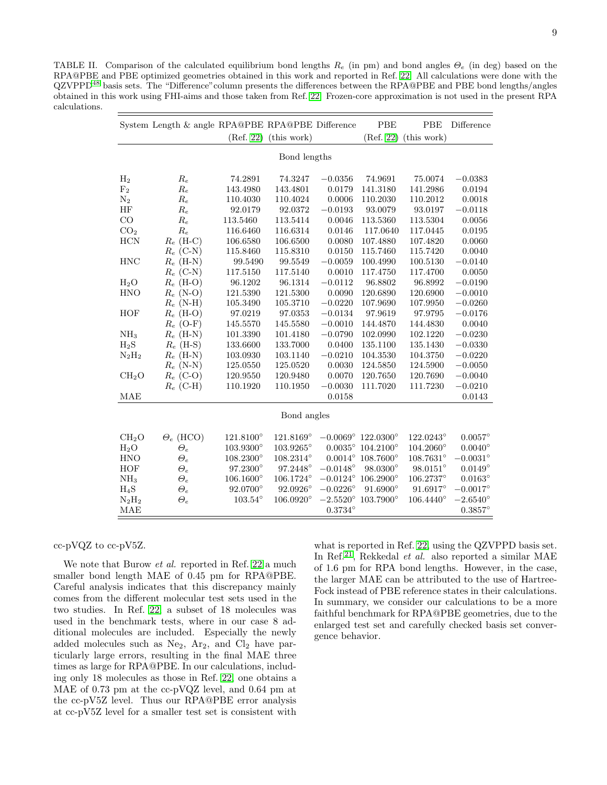<span id="page-8-0"></span>TABLE II. Comparison of the calculated equilibrium bond lengths  $R_e$  (in pm) and bond angles  $\Theta_e$  (in deg) based on the RPA@PBE and PBE optimized geometries obtained in this work and reported in Ref. [22.](#page-11-16) All calculations were done with the QZVPPD[48](#page-12-4) basis sets. The "Difference"column presents the differences between the RPA@PBE and PBE bond lengths/angles obtained in this work using FHI-aims and those taken from Ref. [22.](#page-11-16) Frozen-core approximation is not used in the present RPA calculations.

|                   | System Length & angle RPA@PBE RPA@PBE Difference |                    |                    |                   | PBE                         | PBE                | Difference        |  |  |
|-------------------|--------------------------------------------------|--------------------|--------------------|-------------------|-----------------------------|--------------------|-------------------|--|--|
|                   |                                                  | (Ref. 22)          | (this work)        |                   | (Ref. 22)                   | (this work)        |                   |  |  |
| Bond lengths      |                                                  |                    |                    |                   |                             |                    |                   |  |  |
|                   |                                                  |                    |                    |                   |                             |                    |                   |  |  |
| H <sub>2</sub>    | $R_e$                                            | 74.2891            | 74.3247            | $-0.0356$         | 74.9691                     | 75.0074            | $-0.0383$         |  |  |
| F <sub>2</sub>    | Re                                               | 143.4980           | 143.4801           | 0.0179            | 141.3180                    | 141.2986           | 0.0194            |  |  |
| $\rm N_2$         | Re                                               | 110.4030           | 110.4024           | 0.0006            | 110.2030                    | 110.2012           | 0.0018            |  |  |
| HF                | Re                                               | 92.0179            | 92.0372            | $-0.0193$         | 93.0079                     | 93.0197            | $-0.0118$         |  |  |
| $\rm CO$          | $R_e$                                            | 113.5460           | 113.5414           | 0.0046            | 113.5360                    | 113.5304           | 0.0056            |  |  |
| CO <sub>2</sub>   | $R_e$                                            | 116.6460           | 116.6314           | 0.0146            | 117.0640                    | 117.0445           | 0.0195            |  |  |
| <b>HCN</b>        | $R_e$ (H-C)                                      | 106.6580           | 106.6500           | 0.0080            | 107.4880                    | 107.4820           | 0.0060            |  |  |
|                   | $R_e$ (C-N)                                      | 115.8460           | 115.8310           | 0.0150            | 115.7460                    | 115.7420           | 0.0040            |  |  |
| <b>HNC</b>        | $R_e$ (H-N)                                      | 99.5490            | 99.5549            | $-0.0059$         | 100.4990                    | 100.5130           | $-0.0140$         |  |  |
|                   | $R_e$ (C-N)                                      | 117.5150           | 117.5140           | 0.0010            | 117.4750                    | 117.4700           | 0.0050            |  |  |
| $H_2O$            | $R_e$ (H-O)                                      | 96.1202            | 96.1314            | $-0.0112$         | 96.8802                     | 96.8992            | $-0.0190$         |  |  |
| <b>HNO</b>        | $R_e$ (N-O)                                      | 121.5390           | 121.5300           | 0.0090            | 120.6890                    | 120.6900           | $-0.0010$         |  |  |
|                   | $R_e$ (N-H)                                      | 105.3490           | 105.3710           | $-0.0220$         | 107.9690                    | 107.9950           | $-0.0260$         |  |  |
| HOF               | $R_e$ (H-O)                                      | 97.0219            | 97.0353            | $-0.0134$         | 97.9619                     | 97.9795            | $-0.0176$         |  |  |
|                   | $R_e$ (O-F)                                      | 145.5570           | 145.5580           | $-0.0010$         | 144.4870                    | 144.4830           | 0.0040            |  |  |
| NH <sub>3</sub>   | $R_e$ (H-N)                                      | 101.3390           | 101.4180           | $-0.0790$         | 102.0990                    | 102.1220           | $-0.0230$         |  |  |
| $H_2S$            | $R_e$ (H-S)                                      | 133.6600           | 133.7000           | 0.0400            | 135.1100                    | 135.1430           | $-0.0330$         |  |  |
| $N_2H_2$          | $R_e$ (H-N)                                      | 103.0930           | 103.1140           | $-0.0210$         | 104.3530                    | 104.3750           | $-0.0220$         |  |  |
|                   | $R_e$ (N-N)                                      | 125.0550           | 125.0520           | 0.0030            | 124.5850                    | 124.5900           | $-0.0050$         |  |  |
| CH <sub>2</sub> O | $R_e$ (C-O)                                      | 120.9550           | 120.9480           | 0.0070            | 120.7650                    | 120.7690           | $-0.0040$         |  |  |
|                   | $R_e$ (C-H)                                      | 110.1920           | 110.1950           | $-0.0030$         | 111.7020                    | 111.7230           | $-0.0210$         |  |  |
| MAE               |                                                  |                    |                    | 0.0158            |                             |                    | 0.0143            |  |  |
|                   |                                                  |                    |                    |                   |                             |                    |                   |  |  |
|                   |                                                  |                    | Bond angles        |                   |                             |                    |                   |  |  |
| CH <sub>2</sub> O | $\Theta_e$ (HCO)                                 | $121.8100^{\circ}$ | $121.8169^{\circ}$ |                   | $-0.0069^{\circ}$ 122.0300° | $122.0243^{\circ}$ | $0.0057^{\circ}$  |  |  |
| $H_2O$            | $\varTheta_e$                                    | $103.9300^{\circ}$ | $103.9265^{\circ}$ | $0.0035^{\circ}$  | $104.2100^{\circ}$          | $104.2060^{\circ}$ | $0.0040^{\circ}$  |  |  |
| <b>HNO</b>        | $\Theta_e$                                       | $108.2300^{\circ}$ | $108.2314^{\circ}$ | $0.0014^\circ$    | 108.7600°                   | $108.7631^{\circ}$ | $-0.0031^{\circ}$ |  |  |
| HOF               | $\Theta_e$                                       | 97.2300°           | 97.2448°           | $-0.0148^{\circ}$ | 98.0300°                    | $98.0151^\circ$    | $0.0149^{\circ}$  |  |  |
| NH <sub>3</sub>   | $\varTheta_e$                                    | 106.1600°          | 106.1724°          | $-0.0124^{\circ}$ | $106.2900^{\circ}$          | 106.2737°          | $0.0163^{\circ}$  |  |  |
| $H_4S$            | $\varTheta_e$                                    | 92.0700°           | $92.0926^{\circ}$  | $-0.0226^{\circ}$ | $91.6900^\circ$             | $91.6917^\circ$    | $-0.0017^{\circ}$ |  |  |
| $N_2H_2$          | $\varTheta_e$                                    | $103.54^\circ$     | 106.0920°          | $-2.5520^{\circ}$ | 103.7900°                   | $106.4440^{\circ}$ | $-2.6540^{\circ}$ |  |  |
| MAE               |                                                  |                    |                    | $0.3734^\circ$    |                             |                    | $0.3857^{\circ}$  |  |  |

cc-pVQZ to cc-pV5Z.

We note that Burow *et al.* reported in Ref. [22](#page-11-16) a much smaller bond length MAE of 0.45 pm for RPA@PBE. Careful analysis indicates that this discrepancy mainly comes from the different molecular test sets used in the two studies. In Ref. [22,](#page-11-16) a subset of 18 molecules was used in the benchmark tests, where in our case 8 additional molecules are included. Especially the newly added molecules such as  $Ne<sub>2</sub>$ ,  $Ar<sub>2</sub>$ , and  $Cl<sub>2</sub>$  have particularly large errors, resulting in the final MAE three times as large for RPA@PBE. In our calculations, including only 18 molecules as those in Ref. [22,](#page-11-16) one obtains a MAE of 0.73 pm at the cc-pVQZ level, and 0.64 pm at the cc-pV5Z level. Thus our RPA@PBE error analysis at cc-pV5Z level for a smaller test set is consistent with

what is reported in Ref. [22,](#page-11-16) using the QZVPPD basis set. In Ref.<sup>[21](#page-11-15)</sup>, Rekkedal *et al.* also reported a similar MAE of 1.6 pm for RPA bond lengths. However, in the case, the larger MAE can be attributed to the use of Hartree-Fock instead of PBE reference states in their calculations. In summary, we consider our calculations to be a more faithful benchmark for RPA@PBE geometries, due to the enlarged test set and carefully checked basis set convergence behavior.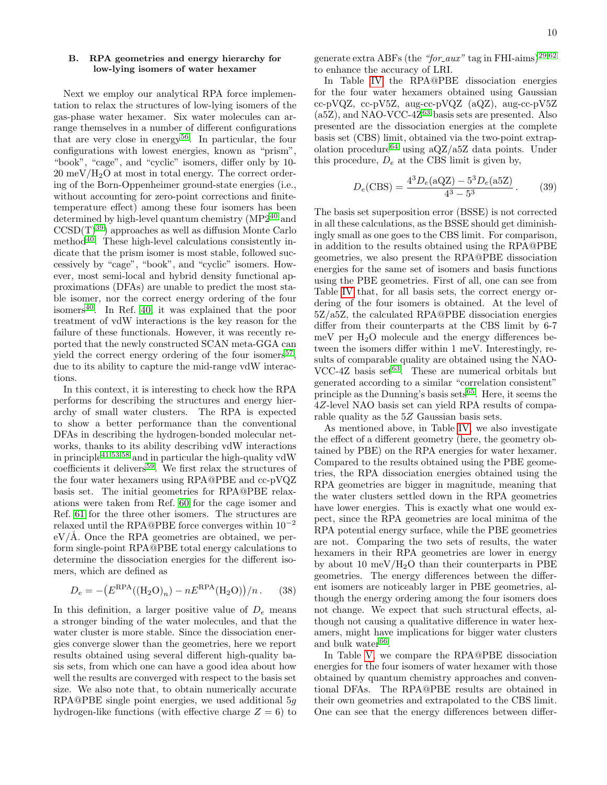# B. RPA geometries and energy hierarchy for low-lying isomers of water hexamer

Next we employ our analytical RPA force implementation to relax the structures of low-lying isomers of the gas-phase water hexamer. Six water molecules can arrange themselves in a number of different configurations that are very close in energy<sup>[56](#page-12-5)</sup>. In particular, the four configurations with lowest energies, known as "prism", "book", "cage", and "cyclic" isomers, differ only by 10-  $20 \text{ meV}/\text{H}_2\text{O}$  at most in total energy. The correct ordering of the Born-Oppenheimer ground-state energies (i.e., without accounting for zero-point corrections and finitetemperature effect) among these four isomers has been determined by high-level quantum chemistry (MP2[40](#page-11-32) and  $CCSD(T)^{39}$  $CCSD(T)^{39}$  $CCSD(T)^{39}$  approaches as well as diffusion Monte Carlo method<sup>[40](#page-11-32)</sup>. These high-level calculations consistently indicate that the prism isomer is most stable, followed successively by "cage", "book", and "cyclic" isomers. However, most semi-local and hybrid density functional approximations (DFAs) are unable to predict the most stable isomer, nor the correct energy ordering of the four isomers $40$ . In Ref. [40,](#page-11-32) it was explained that the poor treatment of vdW interactions is the key reason for the failure of these functionals. However, it was recently reported that the newly constructed SCAN meta-GGA can yield the correct energy ordering of the four isomers<sup>[57](#page-12-6)</sup>, due to its ability to capture the mid-range vdW interactions.

In this context, it is interesting to check how the RPA performs for describing the structures and energy hierarchy of small water clusters. The RPA is expected to show a better performance than the conventional DFAs in describing the hydrogen-bonded molecular networks, thanks to its ability describing vdW interactions in principle<sup>[41](#page-11-33)[,53](#page-12-2)[,58](#page-12-7)</sup> and in particular the high-quality vdW coefficients it delivers<sup>[59](#page-12-8)</sup>. We first relax the structures of the four water hexamers using RPA@PBE and cc-pVQZ basis set. The initial geometries for RPA@PBE relaxations were taken from Ref. [60](#page-12-9) for the cage isomer and Ref. [61](#page-12-10) for the three other isomers. The structures are relaxed until the RPA@PBE force converges within 10<sup>−</sup><sup>2</sup>  $eV/\text{Å}$ . Once the RPA geometries are obtained, we perform single-point RPA@PBE total energy calculations to determine the dissociation energies for the different isomers, which are defined as

$$
D_e = -\left(E^{\rm RPA}((\rm H_2O)_n) - nE^{\rm RPA}(\rm H_2O)\right)/n. \tag{38}
$$

In this definition, a larger positive value of  $D_e$  means a stronger binding of the water molecules, and that the water cluster is more stable. Since the dissociation energies converge slower than the geometries, here we report results obtained using several different high-quality basis sets, from which one can have a good idea about how well the results are converged with respect to the basis set size. We also note that, to obtain numerically accurate RPA@PBE single point energies, we used additional  $5q$ hydrogen-like functions (with effective charge  $Z = 6$ ) to

generate extra ABFs (the "for\_aux" tag in FHI-aims)<sup>[29](#page-11-23)[,62](#page-12-11)</sup> to enhance the accuracy of LRI.

In Table [IV](#page-14-0) the RPA@PBE dissociation energies for the four water hexamers obtained using Gaussian cc-pVQZ, cc-pV5Z, aug-cc-pVQZ (aQZ), aug-cc-pV5Z (a5Z), and NAO-VCC-4 $Z^{63}$  $Z^{63}$  $Z^{63}$  basis sets are presented. Also presented are the dissociation energies at the complete basis set (CBS) limit, obtained via the two-point extrap-olation procedure<sup>[64](#page-12-13)</sup> using  $aQZ/a5Z$  data points. Under this procedure,  $D_e$  at the CBS limit is given by,

$$
D_e(\text{CBS}) = \frac{4^3 D_e(\text{aQZ}) - 5^3 D_e(\text{a5Z})}{4^3 - 5^3} \,. \tag{39}
$$

The basis set superposition error (BSSE) is not corrected in all these calculations, as the BSSE should get diminishingly small as one goes to the CBS limit. For comparison, in addition to the results obtained using the RPA@PBE geometries, we also present the RPA@PBE dissociation energies for the same set of isomers and basis functions using the PBE geometries. First of all, one can see from Table [IV](#page-14-0) that, for all basis sets, the correct energy ordering of the four isomers is obtained. At the level of 5Z/a5Z, the calculated RPA@PBE dissociation energies differ from their counterparts at the CBS limit by 6-7 meV per  $H_2O$  molecule and the energy differences between the isomers differ within 1 meV. Interestingly, results of comparable quality are obtained using the NAO-VCC-4Z basis set $^{63}$  $^{63}$  $^{63}$ . These are numerical orbitals but generated according to a similar "correlation consistent" principle as the Dunning's basis sets<sup>[65](#page-12-14)</sup>. Here, it seems the 4Z-level NAO basis set can yield RPA results of comparable quality as the  $5Z$  Gaussian basis sets.

As mentioned above, in Table [IV,](#page-14-0) we also investigate the effect of a different geometry (here, the geometry obtained by PBE) on the RPA energies for water hexamer. Compared to the results obtained using the PBE geometries, the RPA dissociation energies obtained using the RPA geometries are bigger in magnitude, meaning that the water clusters settled down in the RPA geometries have lower energies. This is exactly what one would expect, since the RPA geometries are local minima of the RPA potential energy surface, while the PBE geometries are not. Comparing the two sets of results, the water hexamers in their RPA geometries are lower in energy by about 10 meV/ $H<sub>2</sub>O$  than their counterparts in PBE geometries. The energy differences between the different isomers are noticeably larger in PBE geometries, although the energy ordering among the four isomers does not change. We expect that such structural effects, although not causing a qualitative difference in water hexamers, might have implications for bigger water clusters and bulk water $66$ .

In Table [V,](#page-14-1) we compare the RPA@PBE dissociation energies for the four isomers of water hexamer with those obtained by quantum chemistry approaches and conventional DFAs. The RPA@PBE results are obtained in their own geometries and extrapolated to the CBS limit. One can see that the energy differences between differ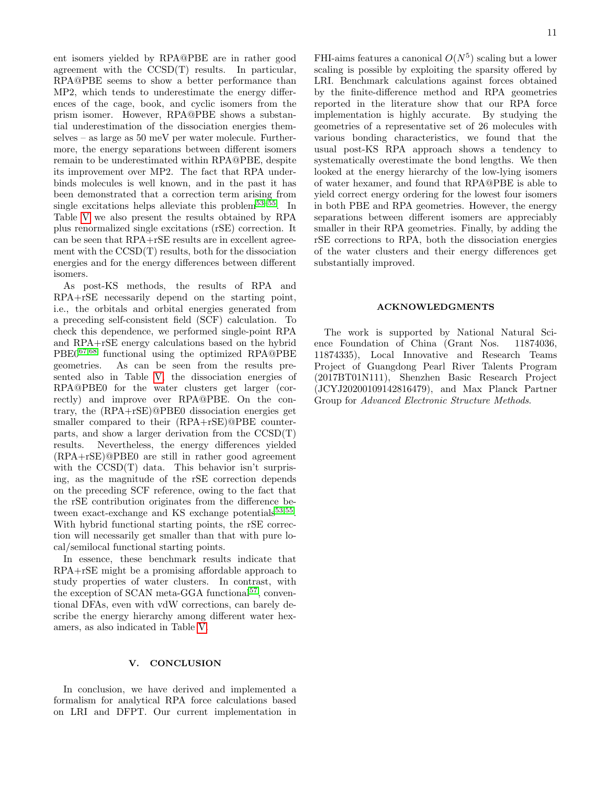ent isomers yielded by RPA@PBE are in rather good agreement with the CCSD(T) results. In particular, RPA@PBE seems to show a better performance than MP2, which tends to underestimate the energy differences of the cage, book, and cyclic isomers from the prism isomer. However, RPA@PBE shows a substantial underestimation of the dissociation energies themselves – as large as 50 meV per water molecule. Furthermore, the energy separations between different isomers remain to be underestimated within RPA@PBE, despite its improvement over MP2. The fact that RPA underbinds molecules is well known, and in the past it has been demonstrated that a correction term arising from single excitations helps alleviate this problem<sup>[53](#page-12-2)[–55](#page-12-3)</sup>. In Table [V](#page-14-1) we also present the results obtained by RPA plus renormalized single excitations (rSE) correction. It can be seen that RPA+rSE results are in excellent agreement with the CCSD(T) results, both for the dissociation energies and for the energy differences between different isomers.

As post-KS methods, the results of RPA and RPA+rSE necessarily depend on the starting point, i.e., the orbitals and orbital energies generated from a preceding self-consistent field (SCF) calculation. To check this dependence, we performed single-point RPA and RPA+rSE energy calculations based on the hybrid PBE0[67,](#page-12-16)[68](#page-12-17) functional using the optimized RPA@PBE geometries. As can be seen from the results presented also in Table [V,](#page-14-1) the dissociation energies of RPA@PBE0 for the water clusters get larger (correctly) and improve over RPA@PBE. On the contrary, the (RPA+rSE)@PBE0 dissociation energies get smaller compared to their (RPA+rSE)@PBE counterparts, and show a larger derivation from the CCSD(T) results. Nevertheless, the energy differences yielded (RPA+rSE)@PBE0 are still in rather good agreement with the CCSD(T) data. This behavior isn't surprising, as the magnitude of the rSE correction depends on the preceding SCF reference, owing to the fact that the rSE contribution originates from the difference between exact-exchange and KS exchange potentials $^{53,55}$  $^{53,55}$  $^{53,55}$  $^{53,55}$ . With hybrid functional starting points, the rSE correction will necessarily get smaller than that with pure local/semilocal functional starting points.

In essence, these benchmark results indicate that RPA+rSE might be a promising affordable approach to study properties of water clusters. In contrast, with the exception of SCAN meta-GGA functional<sup>[57](#page-12-6)</sup>, conventional DFAs, even with vdW corrections, can barely describe the energy hierarchy among different water hexamers, as also indicated in Table [V.](#page-14-1)

## V. CONCLUSION

In conclusion, we have derived and implemented a formalism for analytical RPA force calculations based on LRI and DFPT. Our current implementation in

FHI-aims features a canonical  $O(N^5)$  scaling but a lower scaling is possible by exploiting the sparsity offered by LRI. Benchmark calculations against forces obtained by the finite-difference method and RPA geometries reported in the literature show that our RPA force implementation is highly accurate. By studying the geometries of a representative set of 26 molecules with various bonding characteristics, we found that the usual post-KS RPA approach shows a tendency to systematically overestimate the bond lengths. We then looked at the energy hierarchy of the low-lying isomers of water hexamer, and found that RPA@PBE is able to yield correct energy ordering for the lowest four isomers in both PBE and RPA geometries. However, the energy separations between different isomers are appreciably smaller in their RPA geometries. Finally, by adding the rSE corrections to RPA, both the dissociation energies of the water clusters and their energy differences get substantially improved.

#### ACKNOWLEDGMENTS

The work is supported by National Natural Science Foundation of China (Grant Nos. 11874036, 11874335), Local Innovative and Research Teams Project of Guangdong Pearl River Talents Program (2017BT01N111), Shenzhen Basic Research Project (JCYJ20200109142816479), and Max Planck Partner Group for Advanced Electronic Structure Methods.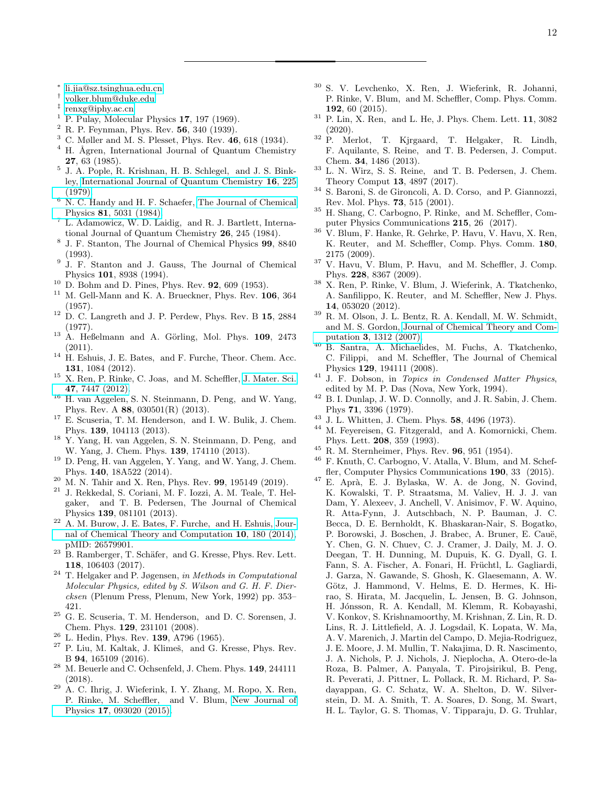- <span id="page-11-0"></span>∗ [li.jia@sz.tsinghua.edu.cn](mailto:li.jia@sz.tsinghua.edu.cn)
- <span id="page-11-1"></span>† [volker.blum@duke.edu](mailto:volker.blum@duke.edu)
- <span id="page-11-2"></span>‡ [renxg@iphy.ac.cn](mailto:renxg@iphy.ac.cn)
- <span id="page-11-3"></span> $<sup>1</sup>$  P. Pulay, Molecular Physics 17, 197 (1969).</sup>
- <span id="page-11-4"></span> $2$  R. P. Feynman, Phys. Rev. 56, 340 (1939).
- <span id="page-11-5"></span> $3$  C. Møller and M. S. Plesset, Phys. Rev. 46, 618 (1934).
- <span id="page-11-6"></span> $4$  H. Ågren, International Journal of Quantum Chemistry 27, 63 (1985).
- 5 J. A. Pople, R. Krishnan, H. B. Schlegel, and J. S. Binkley, [International Journal of Quantum Chemistry](http://dx.doi.org/10.1002/qua.560160825) 16, 225 [\(1979\).](http://dx.doi.org/10.1002/qua.560160825)
- $6$  N. C. Handy and H. F. Schaefer, [The Journal of Chemical](http://dx.doi.org/10.1063/1.447489) Physics 81[, 5031 \(1984\).](http://dx.doi.org/10.1063/1.447489)
- <sup>7</sup> L. Adamowicz, W. D. Laidig, and R. J. Bartlett, International Journal of Quantum Chemistry 26, 245 (1984).
- 8 J. F. Stanton, The Journal of Chemical Physics 99, 8840 (1993).
- <span id="page-11-7"></span>9 J. F. Stanton and J. Gauss, The Journal of Chemical Physics 101, 8938 (1994).
- <span id="page-11-8"></span><sup>10</sup> D. Bohm and D. Pines, Phys. Rev. **92**, 609 (1953).
- <span id="page-11-9"></span>M. Gell-Mann and K. A. Brueckner, Phys. Rev. 106, 364 (1957).
- <span id="page-11-10"></span> $12$  D. C. Langreth and J. P. Perdew, Phys. Rev. B  $15, 2884$ (1977).
- <span id="page-11-11"></span> $13$  A. Heßelmann and A. Görling, Mol. Phys. 109, 2473 (2011).
- <sup>14</sup> H. Eshuis, J. E. Bates, and F. Furche, Theor. Chem. Acc. 131, 1084 (2012).
- <span id="page-11-12"></span><sup>15</sup> X. Ren, P. Rinke, C. Joas, and M. Scheffler, [J. Mater. Sci.](http://dx.doi.org/ 10.1007/s10853-012-6570-4) 47[, 7447 \(2012\).](http://dx.doi.org/ 10.1007/s10853-012-6570-4)
- <span id="page-11-13"></span><sup>16</sup> H. van Aggelen, S. N. Steinmann, D. Peng, and W. Yang, Phys. Rev. A 88, 030501(R) (2013).
- <sup>17</sup> E. Scuseria, T. M. Henderson, and I. W. Bulik, J. Chem. Phys. 139, 104113 (2013).
- <sup>18</sup> Y. Yang, H. van Aggelen, S. N. Steinmann, D. Peng, and W. Yang, J. Chem. Phys. 139, 174110 (2013).
- <sup>19</sup> D. Peng, H. van Aggelen, Y. Yang, and W. Yang, J. Chem. Phys. 140, 18A522 (2014).
- <span id="page-11-14"></span> $20$  M. N. Tahir and X. Ren, Phys. Rev. 99, 195149 (2019).
- <span id="page-11-15"></span><sup>21</sup> J. Rekkedal, S. Coriani, M. F. Iozzi, A. M. Teale, T. Helgaker, and T. B. Pedersen, The Journal of Chemical Physics 139, 081101 (2013).
- <span id="page-11-16"></span> $22$  A. M. Burow, J. E. Bates, F. Furche, and H. Eshuis, [Jour](http://dx.doi.org/ 10.1021/ct4008553)[nal of Chemical Theory and Computation](http://dx.doi.org/ 10.1021/ct4008553) 10, 180 (2014), pMID: 26579901.
- <span id="page-11-17"></span><sup>23</sup> B. Ramberger, T. Schäfer, and G. Kresse, Phys. Rev. Lett. 118, 106403 (2017).
- <span id="page-11-18"></span><sup>24</sup> T. Helgaker and P. Jøgensen, in Methods in Computational Molecular Physics, edited by S. Wilson and G. H. F. Diercksen (Plenum Press, Plenum, New York, 1992) pp. 353– 421.
- <span id="page-11-19"></span> $^{25}\,$  G. E. Scuseria, T. M. Henderson,  $% ^{25}\,$  and D. C. Sorensen, J. Chem. Phys. 129, 231101 (2008).
- <span id="page-11-20"></span><sup>26</sup> L. Hedin, Phys. Rev. 139, A796 (1965).
- <span id="page-11-21"></span> $27$  P. Liu, M. Kaltak, J. Klimeš, and G. Kresse, Phys. Rev. B 94, 165109 (2016).
- <span id="page-11-22"></span><sup>28</sup> M. Beuerle and C. Ochsenfeld, J. Chem. Phys. 149, 244111 (2018).
- <span id="page-11-23"></span><sup>29</sup> A. C. Ihrig, J. Wieferink, I. Y. Zhang, M. Ropo, X. Ren, P. Rinke, M. Scheffler, and V. Blum, [New Journal of](http://dx.doi.org/10.1088/1367-2630/17/9/093020) Physics 17[, 093020 \(2015\).](http://dx.doi.org/10.1088/1367-2630/17/9/093020)
- <sup>30</sup> S. V. Levchenko, X. Ren, J. Wieferink, R. Johanni, P. Rinke, V. Blum, and M. Scheffler, Comp. Phys. Comm. 192, 60 (2015).
- <span id="page-11-24"></span> $31$  P. Lin, X. Ren, and L. He, J. Phys. Chem. Lett. 11, 3082 (2020).
- <span id="page-11-25"></span><sup>32</sup> P. Merlot, T. Kjrgaard, T. Helgaker, R. Lindh, F. Aquilante, S. Reine, and T. B. Pedersen, J. Comput. Chem. 34, 1486 (2013).
- <span id="page-11-26"></span> $33$  L. N. Wirz, S. S. Reine, and T. B. Pedersen, J. Chem. Theory Comput 13, 4897 (2017).
- <span id="page-11-27"></span><sup>34</sup> S. Baroni, S. de Gironcoli, A. D. Corso, and P. Giannozzi, Rev. Mol. Phys. 73, 515 (2001).
- <span id="page-11-28"></span><sup>35</sup> H. Shang, C. Carbogno, P. Rinke, and M. Scheffler, Computer Physics Communications 215, 26 (2017).
- <span id="page-11-29"></span><sup>36</sup> V. Blum, F. Hanke, R. Gehrke, P. Havu, V. Havu, X. Ren, K. Reuter, and M. Scheffler, Comp. Phys. Comm. 180, 2175 (2009).
- $37$  V. Havu, V. Blum, P. Havu, and M. Scheffler, J. Comp. Phys. 228, 8367 (2009).
- <span id="page-11-30"></span><sup>38</sup> X. Ren, P. Rinke, V. Blum, J. Wieferink, A. Tkatchenko, A. Sanfilippo, K. Reuter, and M. Scheffler, New J. Phys. 14, 053020 (2012).
- <span id="page-11-31"></span><sup>39</sup> R. M. Olson, J. L. Bentz, R. A. Kendall, M. W. Schmidt, and M. S. Gordon, [Journal of Chemical Theory and Com](http://dx.doi.org/ 10.1021/ct600366k)putation 3[, 1312 \(2007\).](http://dx.doi.org/ 10.1021/ct600366k)
- <span id="page-11-32"></span><sup>40</sup> B. Santra, A. Michaelides, M. Fuchs, A. Tkatchenko, C. Filippi, and M. Scheffler, The Journal of Chemical Physics 129, 194111 (2008).
- <span id="page-11-33"></span> $41$  J. F. Dobson, in *Topics in Condensed Matter Physics*, edited by M. P. Das (Nova, New York, 1994).
- <span id="page-11-34"></span><sup>42</sup> B. I. Dunlap, J. W. D. Connolly, and J. R. Sabin, J. Chem. Phys 71, 3396 (1979).
- <sup>43</sup> J. L. Whitten, J. Chem. Phys. **58**, 4496 (1973).
- <span id="page-11-35"></span>M. Feyereisen, G. Fitzgerald, and A. Komornicki, Chem. Phys. Lett. 208, 359 (1993).
- <span id="page-11-36"></span><sup>45</sup> R. M. Sternheimer, Phys. Rev. **96**, 951 (1954).
- <span id="page-11-37"></span><sup>46</sup> F. Knuth, C. Carbogno, V. Atalla, V. Blum, and M. Scheffler, Computer Physics Communications 190, 33 (2015).
- <span id="page-11-38"></span> $^{47}$  E. Aprà, E. J. Bylaska, W. A. de Jong, N. Govind, K. Kowalski, T. P. Straatsma, M. Valiev, H. J. J. van Dam, Y. Alexeev, J. Anchell, V. Anisimov, F. W. Aquino, R. Atta-Fynn, J. Autschbach, N. P. Bauman, J. C. Becca, D. E. Bernholdt, K. Bhaskaran-Nair, S. Bogatko, P. Borowski, J. Boschen, J. Brabec, A. Bruner, E. Cauë, Y. Chen, G. N. Chuev, C. J. Cramer, J. Daily, M. J. O. Deegan, T. H. Dunning, M. Dupuis, K. G. Dyall, G. I. Fann, S. A. Fischer, A. Fonari, H. Früchtl, L. Gagliardi, J. Garza, N. Gawande, S. Ghosh, K. Glaesemann, A. W. Götz, J. Hammond, V. Helms, E. D. Hermes, K. Hirao, S. Hirata, M. Jacquelin, L. Jensen, B. G. Johnson, H. Jónsson, R. A. Kendall, M. Klemm, R. Kobayashi, V. Konkov, S. Krishnamoorthy, M. Krishnan, Z. Lin, R. D. Lins, R. J. Littlefield, A. J. Logsdail, K. Lopata, W. Ma, A. V. Marenich, J. Martin del Campo, D. Mejia-Rodriguez, J. E. Moore, J. M. Mullin, T. Nakajima, D. R. Nascimento, J. A. Nichols, P. J. Nichols, J. Nieplocha, A. Otero-de-la Roza, B. Palmer, A. Panyala, T. Pirojsirikul, B. Peng, R. Peverati, J. Pittner, L. Pollack, R. M. Richard, P. Sadayappan, G. C. Schatz, W. A. Shelton, D. W. Silverstein, D. M. A. Smith, T. A. Soares, D. Song, M. Swart, H. L. Taylor, G. S. Thomas, V. Tipparaju, D. G. Truhlar,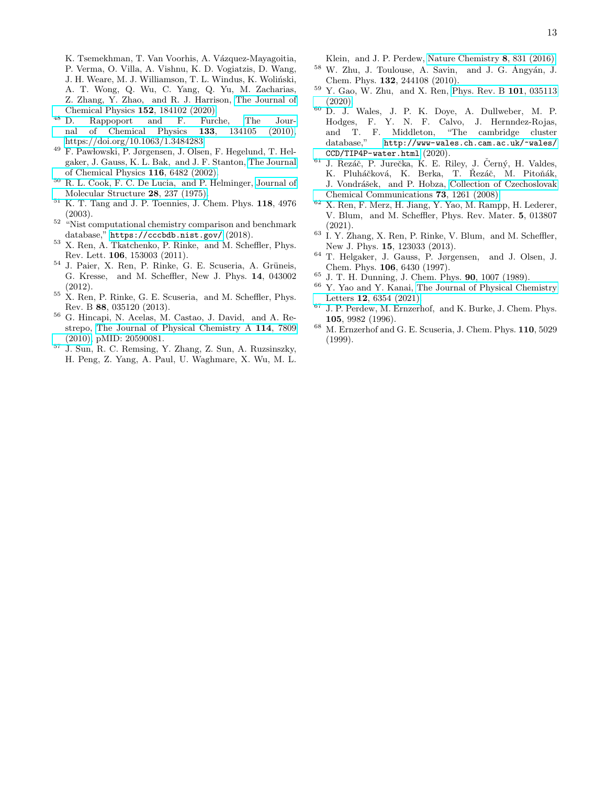K. Tsemekhman, T. Van Voorhis, A. Vázquez-Mayagoitia, P. Verma, O. Villa, A. Vishnu, K. D. Vogiatzis, D. Wang, J. H. Weare, M. J. Williamson, T. L. Windus, K. Woliński, A. T. Wong, Q. Wu, C. Yang, Q. Yu, M. Zacharias, Z. Zhang, Y. Zhao, and R. J. Harrison, [The Journal of](http://dx.doi.org/ 10.1063/5.0004997) [Chemical Physics](http://dx.doi.org/ 10.1063/5.0004997)  $152$ ,  $184102$  (2020).<br>D. Rappoport and F. Furc

- <span id="page-12-4"></span><sup>48</sup> D. Rappoport and F. Furche, The Journal of Chemical Physics  $133$ ,  $134105$  (2010). [nal of Chemical Physics](http://dx.doi.org/10.1063/1.3484283) 133, 134105 (2010), [https://doi.org/10.1063/1.3484283.](http://arxiv.org/abs/https://doi.org/10.1063/1.3484283)
- <span id="page-12-1"></span><sup>49</sup> F. Pawłowski, P. Jørgensen, J. Olsen, F. Hegelund, T. Helgaker, J. Gauss, K. L. Bak, and J. F. Stanton, [The Journal](http://dx.doi.org/10.1063/1.1459782) [of Chemical Physics](http://dx.doi.org/10.1063/1.1459782) 116, 6482 (2002).
- <span id="page-12-18"></span><sup>50</sup> R. L. Cook, F. C. De Lucia, and P. Helminger, [Journal of](http://dx.doi.org/https://doi.org/10.1016/0022-2860(75)80094-9) [Molecular Structure](http://dx.doi.org/https://doi.org/10.1016/0022-2860(75)80094-9) 28, 237 (1975).
- <span id="page-12-19"></span> $^{51}$  K. T. Tang and J. P. Toennies, J. Chem. Phys.  $118, 4976$ (2003).
- <span id="page-12-0"></span> $52$  "Nist computational chemistry comparison and benchmark database," <https://cccbdb.nist.gov/> (2018).
- <span id="page-12-2"></span><sup>53</sup> X. Ren, A. Tkatchenko, P. Rinke, and M. Scheffler, Phys. Rev. Lett. 106, 153003 (2011).
- $^{54}$  J. Paier, X. Ren, P. Rinke, G. E. Scuseria, A. Grüneis, G. Kresse, and M. Scheffler, New J. Phys. 14, 043002 (2012).
- <span id="page-12-3"></span> $55$  X. Ren, P. Rinke, G. E. Scuseria, and M. Scheffler, Phys. Rev. B 88, 035120 (2013).
- <span id="page-12-5"></span><sup>56</sup> G. Hincapi, N. Acelas, M. Castao, J. David, and A. Restrepo, [The Journal of Physical Chemistry A](http://dx.doi.org/ 10.1021/jp103683m) 114, 7809 [\(2010\),](http://dx.doi.org/ 10.1021/jp103683m) pMID: 20590081.
- <span id="page-12-6"></span> $57$  J. Sun, R. C. Remsing, Y. Zhang, Z. Sun, A. Ruzsinszky, H. Peng, Z. Yang, A. Paul, U. Waghmare, X. Wu, M. L.

Klein, and J. P. Perdew, [Nature Chemistry](http://dx.doi.org/ 10.1038/nchem.2535) 8, 831 (2016).

- <span id="page-12-7"></span> $58$  W. Zhu, J. Toulouse, A. Savin, and J. G. Ángyán, J. Chem. Phys. 132, 244108 (2010).
- <span id="page-12-8"></span><sup>59</sup> Y. Gao, W. Zhu, and X. Ren, [Phys. Rev. B](http://dx.doi.org/ 10.1103/PhysRevB.101.035113) 101, 035113 [\(2020\).](http://dx.doi.org/ 10.1103/PhysRevB.101.035113)
- <span id="page-12-9"></span><sup>60</sup> D. J. Wales, J. P. K. Doye, A. Dullweber, M. P. Hodges, F. Y. N. F. Calvo, J. Hernndez-Rojas, and T. F. Middleton, "The cambridge cluster database," [http://www-wales.ch.cam.ac.uk/~wales/](http://www-wales.ch.cam.ac.uk/~wales/CCD/TIP4P-water.html) [CCD/TIP4P-water.html](http://www-wales.ch.cam.ac.uk/~wales/CCD/TIP4P-water.html) (2020).
- <span id="page-12-10"></span> $61$  J. Řezáč, P. Jurečka, K. E. Riley, J. Černý, H. Valdes, K. Pluháčková, K. Berka, T. Řezáč, M. Pitoňák, J. Vondrášek, and P. Hobza, [Collection of Czechoslovak](http://dx.doi.org/ 10.1135/cccc20081261) [Chemical Communications](http://dx.doi.org/ 10.1135/cccc20081261) 73, 1261 (2008).
- <span id="page-12-11"></span><sup>62</sup> X. Ren, F. Merz, H. Jiang, Y. Yao, M. Rampp, H. Lederer, V. Blum, and M. Scheffler, Phys. Rev. Mater. 5, 013807 (2021).
- <span id="page-12-12"></span><sup>63</sup> I. Y. Zhang, X. Ren, P. Rinke, V. Blum, and M. Scheffler, New J. Phys. 15, 123033 (2013).
- <span id="page-12-13"></span><sup>64</sup> T. Helgaker, J. Gauss, P. Jørgensen, and J. Olsen, J. Chem. Phys. 106, 6430 (1997).
- <span id="page-12-14"></span> $^{65}$  J. T. H. Dunning, J. Chem. Phys. **90**, 1007 (1989).
- <span id="page-12-15"></span>Y. Yao and Y. Kanai, [The Journal of Physical Chemistry](http://dx.doi.org/10.1021/acs.jpclett.1c01566) Letters 12[, 6354 \(2021\).](http://dx.doi.org/10.1021/acs.jpclett.1c01566)
- <span id="page-12-16"></span><sup>67</sup> J. P. Perdew, M. Ernzerhof, and K. Burke, J. Chem. Phys. 105, 9982 (1996).
- <span id="page-12-17"></span> $^{68}$  M. Ernzerhof and G. E. Scuseria, J. Chem. Phys. 110, 5029 (1999).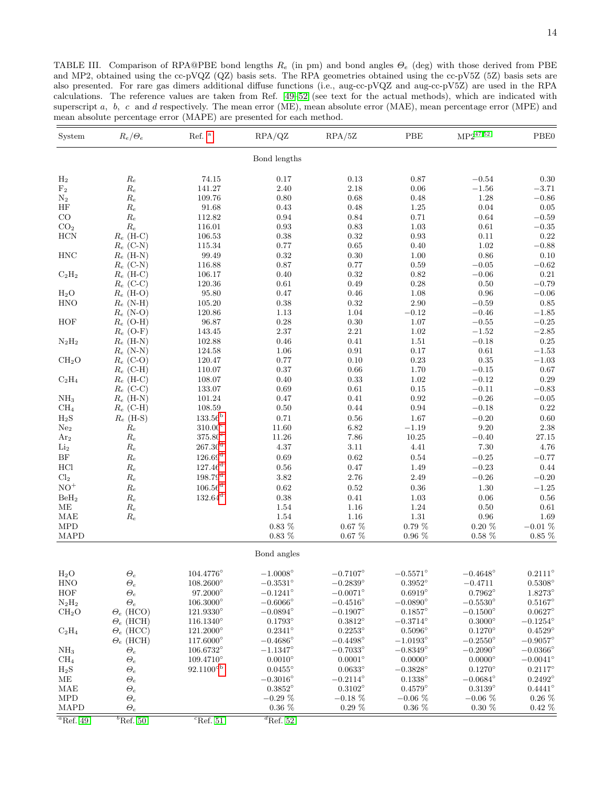<span id="page-13-0"></span>TABLE III. Comparison of RPA@PBE bond lengths  $R_e$  (in pm) and bond angles  $\Theta_e$  (deg) with those derived from PBE and MP2, obtained using the cc-pVQZ (QZ) basis sets. The RPA geometries obtained using the cc-pV5Z (5Z) basis sets are also presented. For rare gas dimers additional diffuse functions (i.e., aug-cc-pVQZ and aug-cc-pV5Z) are used in the RPA calculations. The reference values are taken from Ref. [49–](#page-12-1)[52](#page-12-0) (see text for the actual methods), which are indicated with superscript a, b, c and d respectively. The mean error (ME), mean absolute error (MAE), mean percentage error (MPE) and mean absolute percentage error (MAPE) are presented for each method.

| System                   | $R_e/\Theta_e$                 | Ref. $^{\mathrm{a}}$            | RPA/QZ                                 | RPA/5Z                                 | PBE                                    | $MP2^{47,52}$                          | PBE0                                   |
|--------------------------|--------------------------------|---------------------------------|----------------------------------------|----------------------------------------|----------------------------------------|----------------------------------------|----------------------------------------|
|                          |                                |                                 | Bond lengths                           |                                        |                                        |                                        |                                        |
| H <sub>2</sub>           | Re                             | 74.15                           | 0.17                                   | 0.13                                   | 0.87                                   | $-0.54$                                | 0.30                                   |
| F <sub>2</sub>           | $\mathcal{R}_e$                | 141.27                          | 2.40                                   | 2.18                                   | 0.06                                   | $-1.56$                                | $-3.71$                                |
| $\mathrm{N}_2$           | $\mathcal{R}_e$                | 109.76                          | $0.80\,$                               | 0.68                                   | 0.48                                   | 1.28                                   | $-0.86$                                |
| HF                       | $\mathcal{R}_e$                | 91.68                           | 0.43                                   | 0.48                                   | 1.25                                   | 0.04                                   | $0.05\,$                               |
| CO                       | $\mathcal{R}_e$                | 112.82                          | 0.94                                   | 0.84                                   | 0.71                                   | 0.64                                   | $-0.59$                                |
| CO <sub>2</sub>          | $\mathcal{R}_e$                | 116.01                          | 0.93                                   | 0.83                                   | 1.03                                   | 0.61                                   | $-0.35$                                |
| HCN                      | $R_e$ (H-C)                    | 106.53                          | 0.38                                   | 0.32                                   | 0.93                                   | 0.11                                   | $\rm 0.22$                             |
|                          | $R_e$ (C-N)                    | $115.34\,$                      | 0.77                                   | 0.65                                   | 0.40                                   | 1.02                                   | $-0.88$                                |
| $\rm HNC$                | $R_e$ (H-N)                    | 99.49                           | 0.32                                   | 0.30                                   | 1.00                                   | 0.86                                   | 0.10                                   |
|                          | $R_e$ (C-N)                    | 116.88                          | 0.87                                   | 0.77                                   | 0.59                                   | $-0.05$                                | $-0.62$                                |
| $C_2H_2$                 | $R_e$ (H-C)                    | 106.17                          | 0.40                                   | 0.32                                   | 0.82                                   | $-0.06$                                | $0.21\,$                               |
|                          | $R_e$ (C-C)                    | 120.36                          | 0.61                                   | 0.49                                   | 0.28                                   | 0.50                                   | $-0.79$                                |
| $H_2O$                   | $R_e$ (H-O)                    | 95.80                           | 0.47                                   | 0.46                                   | 1.08                                   | 0.96                                   | $-0.06$                                |
| <b>HNO</b>               | $R_e$ (N-H)                    | 105.20                          | 0.38                                   | 0.32                                   | 2.90                                   | $-0.59$                                | 0.85                                   |
|                          | $R_e$ (N-O)                    | 120.86                          | 1.13                                   | 1.04                                   | $-0.12$                                | $-0.46$                                | $-1.85$                                |
| HOF                      | $R_e$ (O-H)                    | 96.87                           | 0.28                                   | $0.30\,$                               | $1.07\,$                               | $\!-0.55\!$                            | $\!-0.25\!$                            |
|                          | $R_e$ (O-F)                    | 143.45                          | 2.37                                   | 2.21                                   | 1.02                                   | $-1.52\,$                              | $-2.85$                                |
| $N_2H_2$                 | $R_e$ (H-N)                    | 102.88                          | 0.46                                   | 0.41                                   | 1.51                                   | $-0.18$                                | $0.25\,$                               |
|                          | $R_e$ (N-N)                    | 124.58                          | 1.06                                   | 0.91                                   | 0.17                                   | $\,0.61\,$                             | $-1.53$                                |
| CH <sub>2</sub> O        | $R_e$ (C-O)                    | 120.47                          | 0.77<br>0.37                           | 0.10                                   | 0.23<br>1.70                           | 0.35                                   | $-1.03$<br>$0.67\,$                    |
|                          | $R_e$ (C-H)<br>$R_e$ (H-C)     | 110.07<br>108.07                | 0.40                                   | 0.66<br>0.33                           | 1.02                                   | $-0.15$<br>$-0.12$                     | $0.29\,$                               |
| $C_2H_4$                 |                                |                                 | 0.69                                   |                                        | 0.15                                   |                                        |                                        |
| NH <sub>3</sub>          | $R_e$ (C-C)<br>$R_e$ (H-N)     | 133.07<br>101.24                | 0.47                                   | 0.61<br>0.41                           | 0.92                                   | $-0.11$<br>$-0.26$                     | $-0.83$<br>$-0.05$                     |
| CH <sub>4</sub>          | $R_e$ (C-H)                    | 108.59                          | $0.50\,$                               | 0.44                                   | 0.94                                   | $-0.18$                                | $\rm 0.22$                             |
| $H_2S$                   |                                | 133.56 <sup>b</sup>             | $0.71\,$                               | 0.56                                   | 1.67                                   | $-0.20$                                | $0.60\,$                               |
| Ne <sub>2</sub>          | $R_e$ (H-S)<br>$\mathcal{R}_e$ | $310.00^{\circ}$                | 11.60                                  | 6.82                                   | $-1.19$                                | 9.20                                   | 2.38                                   |
| Ar <sub>2</sub>          | $\mathcal{R}_e$                | $375.80^{\circ}$                | 11.26                                  | 7.86                                   | 10.25                                  | $-0.40$                                | 27.15                                  |
| $\operatorname{Li}_2$    | $\mathcal{R}_e$                | $267.30^{\rm d}$                | 4.37                                   | 3.11                                   | 4.41                                   | 7.30                                   | 4.76                                   |
| $\rm{BF}$                | $\mathcal{R}_e$                | 126.69 <sup>d</sup>             | 0.69                                   | 0.62                                   | 0.54                                   | $-0.25$                                | $-0.77$                                |
| HCl                      |                                | $127.46^{\rm d}$                | 0.56                                   | 0.47                                   | 1.49                                   | $-0.23\,$                              | 0.44                                   |
|                          | $\mathcal{R}_e$                | $198.79$ <sup>d</sup>           | $3.82\,$                               |                                        | 2.49                                   | $-0.26$                                |                                        |
| Cl <sub>2</sub><br>$NO+$ | $\mathcal{R}_e$                | $106.56^{\rm d}$                |                                        | 2.76                                   |                                        |                                        | $-0.20$                                |
|                          | $\mathcal{R}_e$                |                                 | $\,0.62\,$                             | 0.52                                   | 0.36                                   | 1.30                                   | $-1.25$                                |
| BeH <sub>2</sub>         | $\mathcal{R}_e$                | $132.64^{\rm d}$                | 0.38                                   | 0.41                                   | 1.03                                   | 0.06                                   | $0.56\,$                               |
| MЕ                       | $\mathcal{R}_e$                |                                 | 1.54                                   | 1.16                                   | 1.24                                   | 0.50                                   | $0.61\,$                               |
| MAE                      | $R_e$                          |                                 | 1.54                                   | 1.16                                   | $1.31\,$                               | 0.96                                   | 1.69                                   |
| MPD<br>MAPD              |                                |                                 | $0.83~\%$<br>$0.83~\%$                 | $0.67~\%$<br>0.67~%                    | $0.79~\%$<br>$0.96~\%$                 | $0.20\%$<br>$0.58\%$                   | $-0.01\%$<br>$0.85\%$                  |
|                          |                                |                                 | Bond angles                            |                                        |                                        |                                        |                                        |
|                          |                                |                                 |                                        |                                        |                                        |                                        |                                        |
| $H_2O$                   | $\varTheta_e$                  | $104.4776^{\circ}$              | $-1.0008^{\circ}$                      | $-0.7107^{\circ}$                      | $-0.5571^{\circ}$                      | $-0.4648^{\circ}$                      | $0.2111^{\circ}$                       |
| <b>HNO</b>               | $\varTheta_e$                  | $108.2600^\circ$                | $-0.3531^{\circ}$                      | $-0.2839^{\circ}$                      | $0.3952^{\circ}$                       | $-0.4711$                              | $0.5308^{\circ}$                       |
| HOF                      | $\varTheta_e$                  | $97.2000^{\circ}$               | $-0.1241^{\circ}$                      | $-0.0071^\circ$                        | $0.6919^\circ$                         | $0.7962^\circ$                         | $1.8273^{\circ}$                       |
| $N_2H_2$                 | $\varTheta_e$                  | $106.3000^{\circ}$              | $-0.6066^{\circ}$                      | $-0.4516^{\circ}$                      | $-0.0890^{\circ}$                      | $-0.5530^{\circ}$                      | $0.5167^{\circ}$                       |
| CH <sub>2</sub> O        | $\Theta_e$ (HCO)               | $121.9330^{\circ}$              | $-0.0894^{\circ}$                      | $-0.1907^{\circ}$                      | $0.1857^{\circ}$                       | $-0.1500^{\circ}$                      | $0.0627^{\circ}$<br>$-0.1254^{\circ}$  |
|                          | $\Theta_e$ (HCH)               | $116.1340^{\circ}$              | $0.1793^\circ$                         | $0.3812^{\circ}$                       | $-0.3714^{\circ}$                      | $0.3000^\circ$                         |                                        |
| $C_2H_4$                 | $\Theta_e$ (HCC)               | $121.2000^\circ$                | $0.2341^\circ$                         | $0.2253^\circ$                         | $0.5096^\circ$                         | $0.1270^\circ$                         | $0.4529^{\circ}$                       |
|                          | $\Theta_e$ (HCH)               | $117.6000^{\circ}$<br>106.6732° | $-0.4686^{\circ}$<br>$-1.1347^{\circ}$ | $-0.4498^{\circ}$<br>$-0.7033^{\circ}$ | $-1.0193^{\circ}$<br>$-0.8349^{\circ}$ | $-0.2550^{\circ}$<br>$-0.2090^{\circ}$ | $-0.9057^{\circ}$<br>$-0.0366^{\circ}$ |
| NH <sub>3</sub>          | $\varTheta_e$                  | $109.4710^{\circ}$              | $0.0010^{\circ}$                       | $0.0001^\circ$                         | $0.0000^\circ$                         | $0.0000^\circ$                         | $-0.0041^{\circ}$                      |
| CH <sub>4</sub>          | $\varTheta_e$                  | $92.1100^{\circ b}$             |                                        | $0.0633^\circ$                         | $-0.3828^\circ$                        |                                        | $0.2117^{\circ}$                       |
| $H_2S$                   | $\varTheta_e$                  |                                 | $0.0455^{\circ}$<br>$-0.3016^{\circ}$  | $-0.2114^{\circ}$                      |                                        | $0.1270^\circ$                         | $0.2492^\circ$                         |
| MЕ                       | $\varTheta_e$                  |                                 | $0.3852^\circ$                         | $0.3102^{\circ}$                       | $0.1338^\circ$<br>$0.4579^\circ$       | $-0.0684^{\circ}$<br>$0.3139^\circ$    | $0.4441^{\circ}$                       |
| MAE<br><b>MPD</b>        | $\varTheta_e$<br>$\varTheta_e$ |                                 | $-0.29\%$                              | $-0.18\%$                              | $-0.06\%$                              | $-0.06\%$                              | $0.26\%$                               |
| MAPD                     | $\varTheta_e$                  |                                 | $0.36\%$                               | $0.29\%$                               | $0.36\%$                               | $0.30\%$                               | $0.42\%$                               |
|                          |                                |                                 |                                        |                                        |                                        |                                        |                                        |
| $a$ Ref. 49              | $b$ Ref. 50                    | $\overline{c}$ Ref. 51          | $d$ Ref. 52                            |                                        |                                        |                                        |                                        |